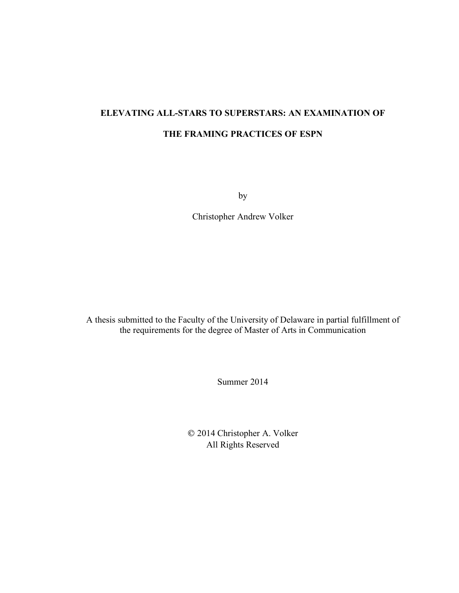# **ELEVATING ALL-STARS TO SUPERSTARS: AN EXAMINATION OF THE FRAMING PRACTICES OF ESPN**

by

Christopher Andrew Volker

A thesis submitted to the Faculty of the University of Delaware in partial fulfillment of the requirements for the degree of Master of Arts in Communication

Summer 2014

 2014 Christopher A. Volker All Rights Reserved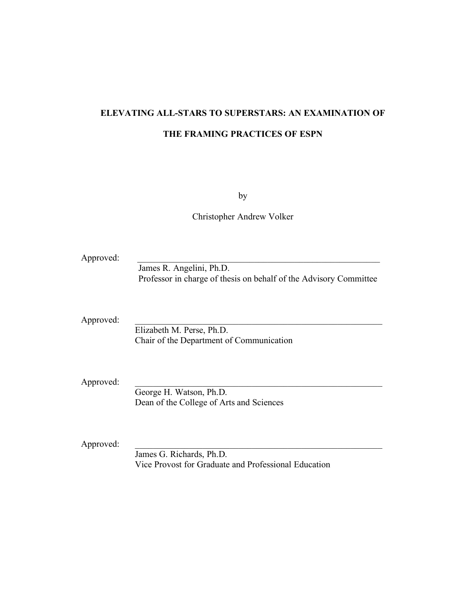# **ELEVATING ALL-STARS TO SUPERSTARS: AN EXAMINATION OF THE FRAMING PRACTICES OF ESPN**

by

Christopher Andrew Volker

| Approved: | James R. Angelini, Ph.D.<br>Professor in charge of thesis on behalf of the Advisory Committee |
|-----------|-----------------------------------------------------------------------------------------------|
| Approved: | Elizabeth M. Perse, Ph.D.<br>Chair of the Department of Communication                         |
| Approved: | George H. Watson, Ph.D.<br>Dean of the College of Arts and Sciences                           |
| Approved: | James G. Richards, Ph.D.<br>Vice Provost for Graduate and Professional Education              |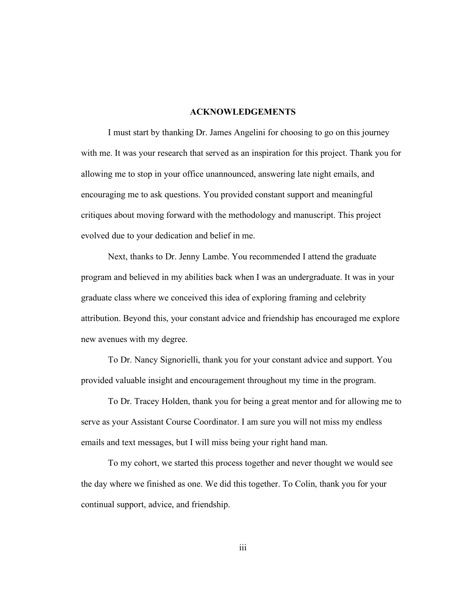### **ACKNOWLEDGEMENTS**

I must start by thanking Dr. James Angelini for choosing to go on this journey with me. It was your research that served as an inspiration for this project. Thank you for allowing me to stop in your office unannounced, answering late night emails, and encouraging me to ask questions. You provided constant support and meaningful critiques about moving forward with the methodology and manuscript. This project evolved due to your dedication and belief in me.

Next, thanks to Dr. Jenny Lambe. You recommended I attend the graduate program and believed in my abilities back when I was an undergraduate. It was in your graduate class where we conceived this idea of exploring framing and celebrity attribution. Beyond this, your constant advice and friendship has encouraged me explore new avenues with my degree.

To Dr. Nancy Signorielli, thank you for your constant advice and support. You provided valuable insight and encouragement throughout my time in the program.

To Dr. Tracey Holden, thank you for being a great mentor and for allowing me to serve as your Assistant Course Coordinator. I am sure you will not miss my endless emails and text messages, but I will miss being your right hand man.

To my cohort, we started this process together and never thought we would see the day where we finished as one. We did this together. To Colin, thank you for your continual support, advice, and friendship.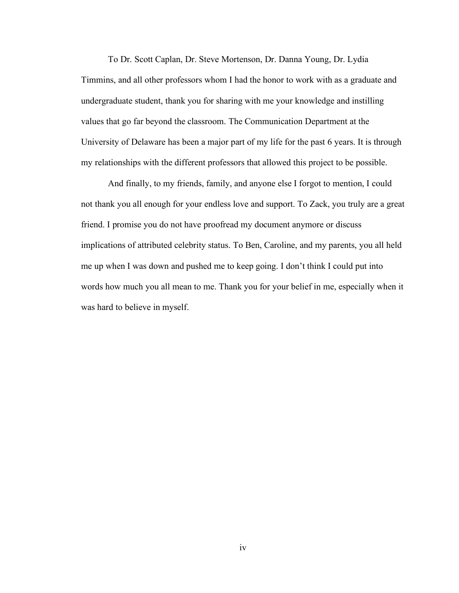To Dr. Scott Caplan, Dr. Steve Mortenson, Dr. Danna Young, Dr. Lydia Timmins, and all other professors whom I had the honor to work with as a graduate and undergraduate student, thank you for sharing with me your knowledge and instilling values that go far beyond the classroom. The Communication Department at the University of Delaware has been a major part of my life for the past 6 years. It is through my relationships with the different professors that allowed this project to be possible.

And finally, to my friends, family, and anyone else I forgot to mention, I could not thank you all enough for your endless love and support. To Zack, you truly are a great friend. I promise you do not have proofread my document anymore or discuss implications of attributed celebrity status. To Ben, Caroline, and my parents, you all held me up when I was down and pushed me to keep going. I don't think I could put into words how much you all mean to me. Thank you for your belief in me, especially when it was hard to believe in myself.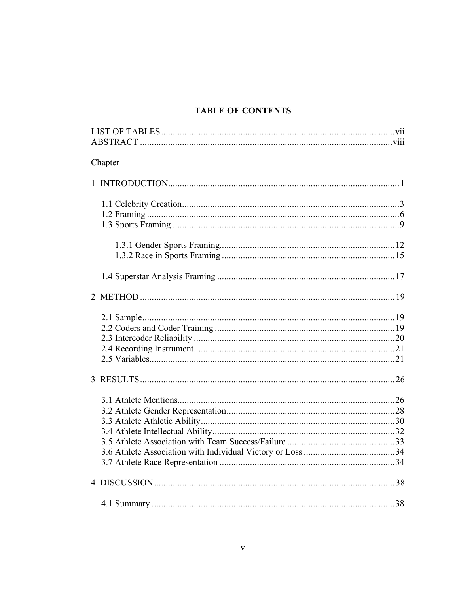# **TABLE OF CONTENTS**

| Chapter |  |
|---------|--|
|         |  |
|         |  |
|         |  |
|         |  |
|         |  |
|         |  |
|         |  |
|         |  |
|         |  |
|         |  |
|         |  |
|         |  |
|         |  |
|         |  |
|         |  |
|         |  |
|         |  |
|         |  |
|         |  |
|         |  |
|         |  |
|         |  |
|         |  |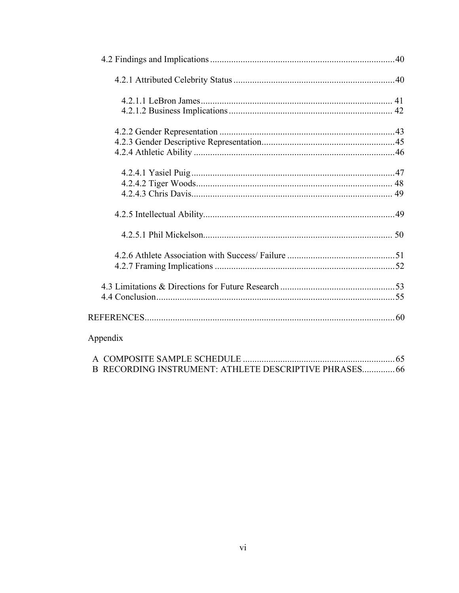| Appendix                                               |  |
|--------------------------------------------------------|--|
|                                                        |  |
| B RECORDING INSTRUMENT: ATHLETE DESCRIPTIVE PHRASES 66 |  |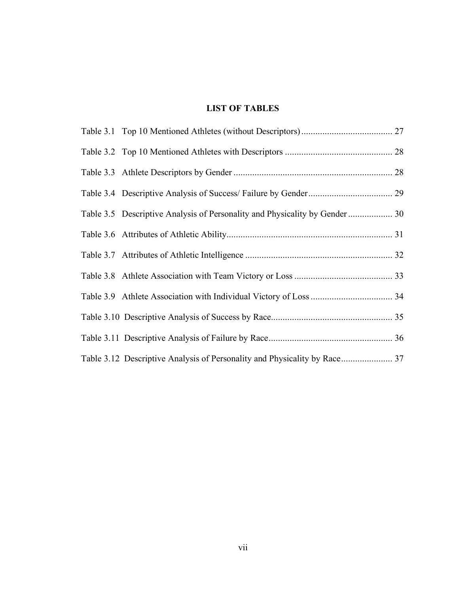# **LIST OF TABLES**

| Table 3.5 Descriptive Analysis of Personality and Physicality by Gender  30 |  |
|-----------------------------------------------------------------------------|--|
|                                                                             |  |
|                                                                             |  |
|                                                                             |  |
|                                                                             |  |
|                                                                             |  |
|                                                                             |  |
|                                                                             |  |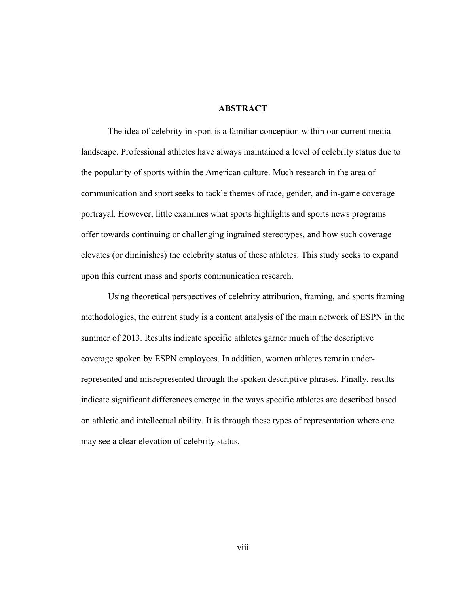### **ABSTRACT**

The idea of celebrity in sport is a familiar conception within our current media landscape. Professional athletes have always maintained a level of celebrity status due to the popularity of sports within the American culture. Much research in the area of communication and sport seeks to tackle themes of race, gender, and in-game coverage portrayal. However, little examines what sports highlights and sports news programs offer towards continuing or challenging ingrained stereotypes, and how such coverage elevates (or diminishes) the celebrity status of these athletes. This study seeks to expand upon this current mass and sports communication research.

Using theoretical perspectives of celebrity attribution, framing, and sports framing methodologies, the current study is a content analysis of the main network of ESPN in the summer of 2013. Results indicate specific athletes garner much of the descriptive coverage spoken by ESPN employees. In addition, women athletes remain underrepresented and misrepresented through the spoken descriptive phrases. Finally, results indicate significant differences emerge in the ways specific athletes are described based on athletic and intellectual ability. It is through these types of representation where one may see a clear elevation of celebrity status.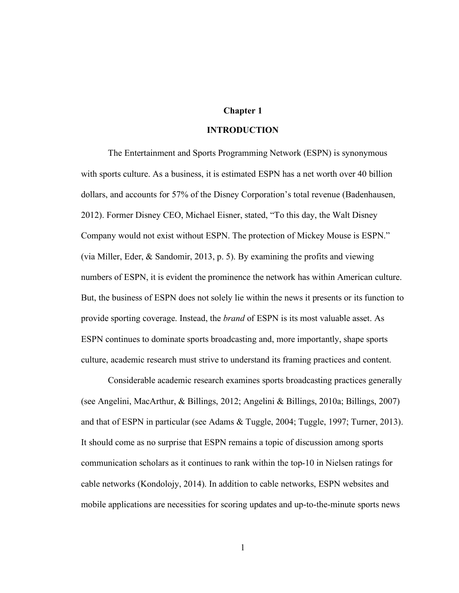## **Chapter 1**

#### **INTRODUCTION**

The Entertainment and Sports Programming Network (ESPN) is synonymous with sports culture. As a business, it is estimated ESPN has a net worth over 40 billion dollars, and accounts for 57% of the Disney Corporation's total revenue (Badenhausen, 2012). Former Disney CEO, Michael Eisner, stated, "To this day, the Walt Disney Company would not exist without ESPN. The protection of Mickey Mouse is ESPN." (via Miller, Eder, & Sandomir, 2013, p. 5). By examining the profits and viewing numbers of ESPN, it is evident the prominence the network has within American culture. But, the business of ESPN does not solely lie within the news it presents or its function to provide sporting coverage. Instead, the *brand* of ESPN is its most valuable asset. As ESPN continues to dominate sports broadcasting and, more importantly, shape sports culture, academic research must strive to understand its framing practices and content.

Considerable academic research examines sports broadcasting practices generally (see Angelini, MacArthur, & Billings, 2012; Angelini & Billings, 2010a; Billings, 2007) and that of ESPN in particular (see Adams & Tuggle, 2004; Tuggle, 1997; Turner, 2013). It should come as no surprise that ESPN remains a topic of discussion among sports communication scholars as it continues to rank within the top-10 in Nielsen ratings for cable networks (Kondolojy, 2014). In addition to cable networks, ESPN websites and mobile applications are necessities for scoring updates and up-to-the-minute sports news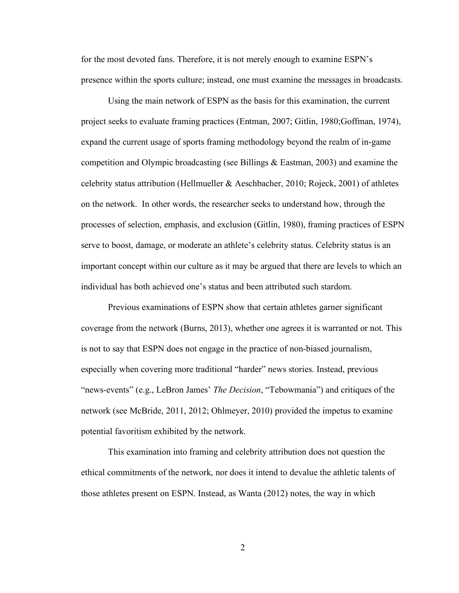for the most devoted fans. Therefore, it is not merely enough to examine ESPN's presence within the sports culture; instead, one must examine the messages in broadcasts.

Using the main network of ESPN as the basis for this examination, the current project seeks to evaluate framing practices (Entman, 2007; Gitlin, 1980;Goffman, 1974), expand the current usage of sports framing methodology beyond the realm of in-game competition and Olympic broadcasting (see Billings & Eastman, 2003) and examine the celebrity status attribution (Hellmueller  $\&$  Aeschbacher, 2010; Rojeck, 2001) of athletes on the network. In other words, the researcher seeks to understand how, through the processes of selection, emphasis, and exclusion (Gitlin, 1980), framing practices of ESPN serve to boost, damage, or moderate an athlete's celebrity status. Celebrity status is an important concept within our culture as it may be argued that there are levels to which an individual has both achieved one's status and been attributed such stardom.

Previous examinations of ESPN show that certain athletes garner significant coverage from the network (Burns, 2013), whether one agrees it is warranted or not. This is not to say that ESPN does not engage in the practice of non-biased journalism, especially when covering more traditional "harder" news stories. Instead, previous "news-events" (e.g., LeBron James' *The Decision*, "Tebowmania") and critiques of the network (see McBride, 2011, 2012; Ohlmeyer, 2010) provided the impetus to examine potential favoritism exhibited by the network.

This examination into framing and celebrity attribution does not question the ethical commitments of the network, nor does it intend to devalue the athletic talents of those athletes present on ESPN. Instead, as Wanta (2012) notes, the way in which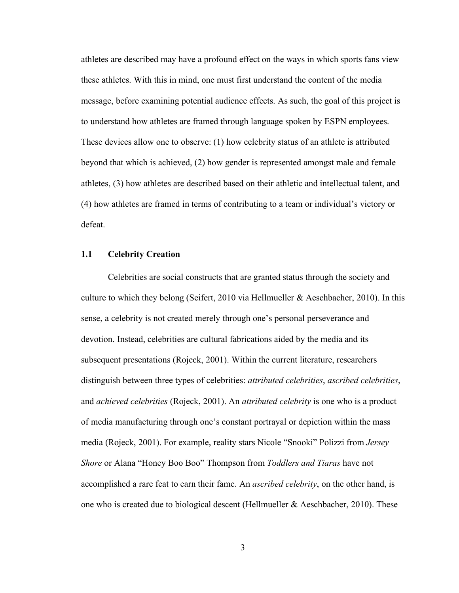athletes are described may have a profound effect on the ways in which sports fans view these athletes. With this in mind, one must first understand the content of the media message, before examining potential audience effects. As such, the goal of this project is to understand how athletes are framed through language spoken by ESPN employees. These devices allow one to observe: (1) how celebrity status of an athlete is attributed beyond that which is achieved, (2) how gender is represented amongst male and female athletes, (3) how athletes are described based on their athletic and intellectual talent, and (4) how athletes are framed in terms of contributing to a team or individual's victory or defeat.

#### **1.1 Celebrity Creation**

Celebrities are social constructs that are granted status through the society and culture to which they belong (Seifert, 2010 via Hellmueller  $\&$  Aeschbacher, 2010). In this sense, a celebrity is not created merely through one's personal perseverance and devotion. Instead, celebrities are cultural fabrications aided by the media and its subsequent presentations (Rojeck, 2001). Within the current literature, researchers distinguish between three types of celebrities: *attributed celebrities*, *ascribed celebrities*, and *achieved celebrities* (Rojeck, 2001). An *attributed celebrity* is one who is a product of media manufacturing through one's constant portrayal or depiction within the mass media (Rojeck, 2001). For example, reality stars Nicole "Snooki" Polizzi from *Jersey Shore* or Alana "Honey Boo Boo" Thompson from *Toddlers and Tiaras* have not accomplished a rare feat to earn their fame. An *ascribed celebrity*, on the other hand, is one who is created due to biological descent (Hellmueller & Aeschbacher, 2010). These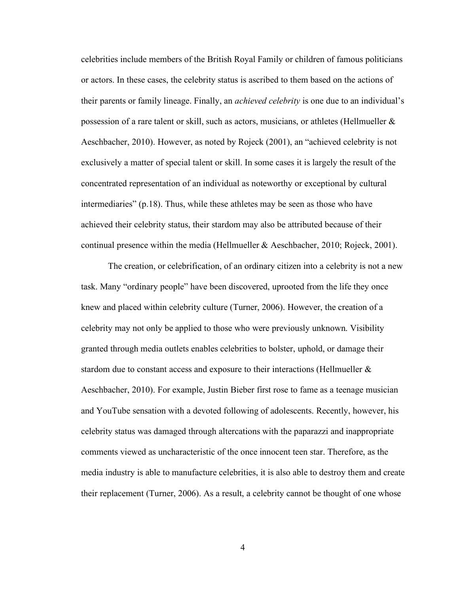celebrities include members of the British Royal Family or children of famous politicians or actors. In these cases, the celebrity status is ascribed to them based on the actions of their parents or family lineage. Finally, an *achieved celebrity* is one due to an individual's possession of a rare talent or skill, such as actors, musicians, or athletes (Hellmueller & Aeschbacher, 2010). However, as noted by Rojeck (2001), an "achieved celebrity is not exclusively a matter of special talent or skill. In some cases it is largely the result of the concentrated representation of an individual as noteworthy or exceptional by cultural intermediaries" (p.18). Thus, while these athletes may be seen as those who have achieved their celebrity status, their stardom may also be attributed because of their continual presence within the media (Hellmueller & Aeschbacher, 2010; Rojeck, 2001).

The creation, or celebrification, of an ordinary citizen into a celebrity is not a new task. Many "ordinary people" have been discovered, uprooted from the life they once knew and placed within celebrity culture (Turner, 2006). However, the creation of a celebrity may not only be applied to those who were previously unknown. Visibility granted through media outlets enables celebrities to bolster, uphold, or damage their stardom due to constant access and exposure to their interactions (Hellmueller & Aeschbacher, 2010). For example, Justin Bieber first rose to fame as a teenage musician and YouTube sensation with a devoted following of adolescents. Recently, however, his celebrity status was damaged through altercations with the paparazzi and inappropriate comments viewed as uncharacteristic of the once innocent teen star. Therefore, as the media industry is able to manufacture celebrities, it is also able to destroy them and create their replacement (Turner, 2006). As a result, a celebrity cannot be thought of one whose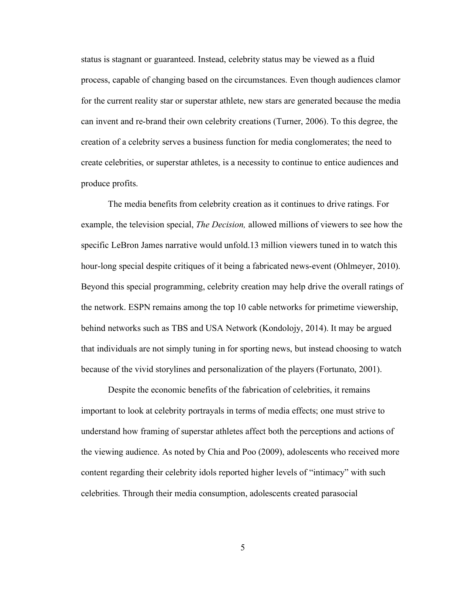status is stagnant or guaranteed. Instead, celebrity status may be viewed as a fluid process, capable of changing based on the circumstances. Even though audiences clamor for the current reality star or superstar athlete, new stars are generated because the media can invent and re-brand their own celebrity creations (Turner, 2006). To this degree, the creation of a celebrity serves a business function for media conglomerates; the need to create celebrities, or superstar athletes, is a necessity to continue to entice audiences and produce profits.

The media benefits from celebrity creation as it continues to drive ratings. For example, the television special, *The Decision,* allowed millions of viewers to see how the specific LeBron James narrative would unfold.13 million viewers tuned in to watch this hour-long special despite critiques of it being a fabricated news-event (Ohlmeyer, 2010). Beyond this special programming, celebrity creation may help drive the overall ratings of the network. ESPN remains among the top 10 cable networks for primetime viewership, behind networks such as TBS and USA Network (Kondolojy, 2014). It may be argued that individuals are not simply tuning in for sporting news, but instead choosing to watch because of the vivid storylines and personalization of the players (Fortunato, 2001).

Despite the economic benefits of the fabrication of celebrities, it remains important to look at celebrity portrayals in terms of media effects; one must strive to understand how framing of superstar athletes affect both the perceptions and actions of the viewing audience. As noted by Chia and Poo (2009), adolescents who received more content regarding their celebrity idols reported higher levels of "intimacy" with such celebrities. Through their media consumption, adolescents created parasocial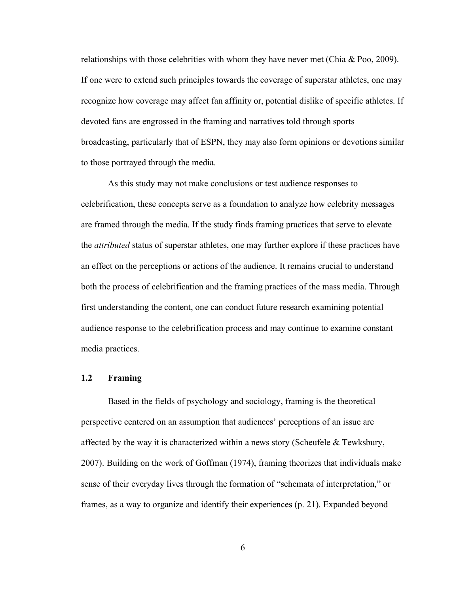relationships with those celebrities with whom they have never met (Chia  $\&$  Poo, 2009). If one were to extend such principles towards the coverage of superstar athletes, one may recognize how coverage may affect fan affinity or, potential dislike of specific athletes. If devoted fans are engrossed in the framing and narratives told through sports broadcasting, particularly that of ESPN, they may also form opinions or devotions similar to those portrayed through the media.

As this study may not make conclusions or test audience responses to celebrification, these concepts serve as a foundation to analyze how celebrity messages are framed through the media. If the study finds framing practices that serve to elevate the *attributed* status of superstar athletes, one may further explore if these practices have an effect on the perceptions or actions of the audience. It remains crucial to understand both the process of celebrification and the framing practices of the mass media. Through first understanding the content, one can conduct future research examining potential audience response to the celebrification process and may continue to examine constant media practices.

#### **1.2 Framing**

Based in the fields of psychology and sociology, framing is the theoretical perspective centered on an assumption that audiences' perceptions of an issue are affected by the way it is characterized within a news story (Scheufele  $\&$  Tewksbury, 2007). Building on the work of Goffman (1974), framing theorizes that individuals make sense of their everyday lives through the formation of "schemata of interpretation," or frames, as a way to organize and identify their experiences (p. 21). Expanded beyond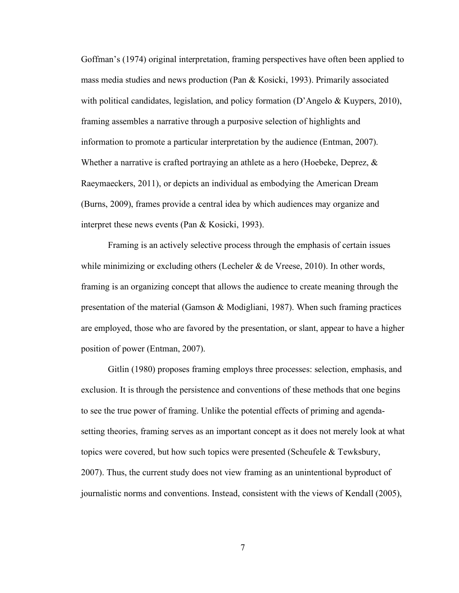Goffman's (1974) original interpretation, framing perspectives have often been applied to mass media studies and news production (Pan & Kosicki, 1993). Primarily associated with political candidates, legislation, and policy formation (D'Angelo & Kuypers, 2010), framing assembles a narrative through a purposive selection of highlights and information to promote a particular interpretation by the audience (Entman, 2007). Whether a narrative is crafted portraying an athlete as a hero (Hoebeke, Deprez,  $\&$ Raeymaeckers, 2011), or depicts an individual as embodying the American Dream (Burns, 2009), frames provide a central idea by which audiences may organize and interpret these news events (Pan & Kosicki, 1993).

Framing is an actively selective process through the emphasis of certain issues while minimizing or excluding others (Lecheler  $\&$  de Vreese, 2010). In other words, framing is an organizing concept that allows the audience to create meaning through the presentation of the material (Gamson & Modigliani, 1987). When such framing practices are employed, those who are favored by the presentation, or slant, appear to have a higher position of power (Entman, 2007).

Gitlin (1980) proposes framing employs three processes: selection, emphasis, and exclusion. It is through the persistence and conventions of these methods that one begins to see the true power of framing. Unlike the potential effects of priming and agendasetting theories, framing serves as an important concept as it does not merely look at what topics were covered, but how such topics were presented (Scheufele & Tewksbury, 2007). Thus, the current study does not view framing as an unintentional byproduct of journalistic norms and conventions. Instead, consistent with the views of Kendall (2005),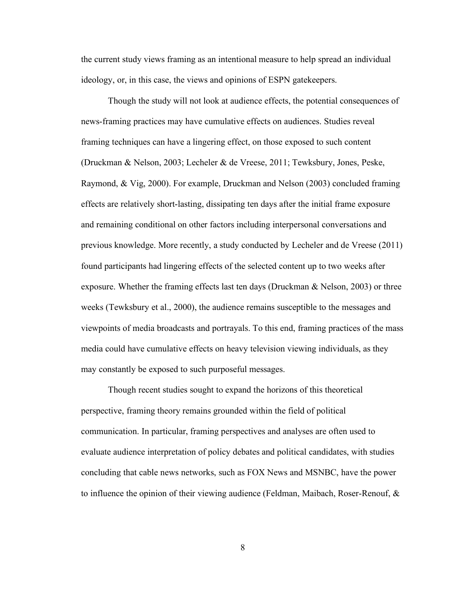the current study views framing as an intentional measure to help spread an individual ideology, or, in this case, the views and opinions of ESPN gatekeepers.

Though the study will not look at audience effects, the potential consequences of news-framing practices may have cumulative effects on audiences. Studies reveal framing techniques can have a lingering effect, on those exposed to such content (Druckman & Nelson, 2003; Lecheler & de Vreese, 2011; Tewksbury, Jones, Peske, Raymond, & Vig, 2000). For example, Druckman and Nelson (2003) concluded framing effects are relatively short-lasting, dissipating ten days after the initial frame exposure and remaining conditional on other factors including interpersonal conversations and previous knowledge. More recently, a study conducted by Lecheler and de Vreese (2011) found participants had lingering effects of the selected content up to two weeks after exposure. Whether the framing effects last ten days (Druckman & Nelson, 2003) or three weeks (Tewksbury et al., 2000), the audience remains susceptible to the messages and viewpoints of media broadcasts and portrayals. To this end, framing practices of the mass media could have cumulative effects on heavy television viewing individuals, as they may constantly be exposed to such purposeful messages.

Though recent studies sought to expand the horizons of this theoretical perspective, framing theory remains grounded within the field of political communication. In particular, framing perspectives and analyses are often used to evaluate audience interpretation of policy debates and political candidates, with studies concluding that cable news networks, such as FOX News and MSNBC, have the power to influence the opinion of their viewing audience (Feldman, Maibach, Roser-Renouf, &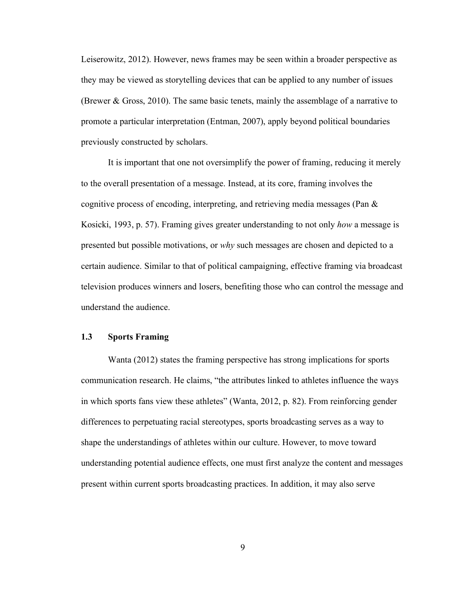Leiserowitz, 2012). However, news frames may be seen within a broader perspective as they may be viewed as storytelling devices that can be applied to any number of issues (Brewer & Gross, 2010). The same basic tenets, mainly the assemblage of a narrative to promote a particular interpretation (Entman, 2007), apply beyond political boundaries previously constructed by scholars.

It is important that one not oversimplify the power of framing, reducing it merely to the overall presentation of a message. Instead, at its core, framing involves the cognitive process of encoding, interpreting, and retrieving media messages (Pan  $\&$ Kosicki, 1993, p. 57). Framing gives greater understanding to not only *how* a message is presented but possible motivations, or *why* such messages are chosen and depicted to a certain audience. Similar to that of political campaigning, effective framing via broadcast television produces winners and losers, benefiting those who can control the message and understand the audience.

### **1.3 Sports Framing**

Wanta (2012) states the framing perspective has strong implications for sports communication research. He claims, "the attributes linked to athletes influence the ways in which sports fans view these athletes" (Wanta, 2012, p. 82). From reinforcing gender differences to perpetuating racial stereotypes, sports broadcasting serves as a way to shape the understandings of athletes within our culture. However, to move toward understanding potential audience effects, one must first analyze the content and messages present within current sports broadcasting practices. In addition, it may also serve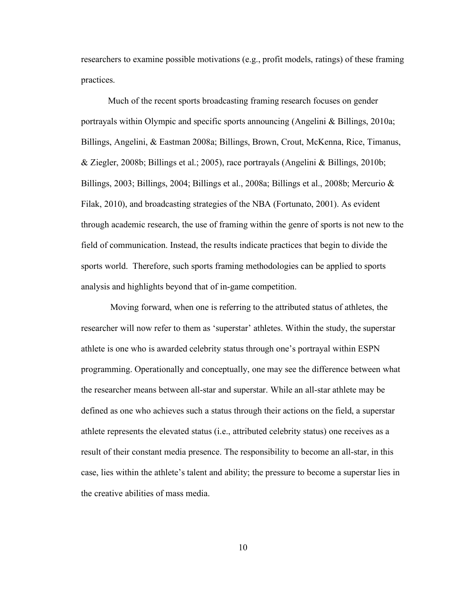researchers to examine possible motivations (e.g., profit models, ratings) of these framing practices.

Much of the recent sports broadcasting framing research focuses on gender portrayals within Olympic and specific sports announcing (Angelini & Billings, 2010a; Billings, Angelini, & Eastman 2008a; Billings, Brown, Crout, McKenna, Rice, Timanus, & Ziegler, 2008b; Billings et al.; 2005), race portrayals (Angelini & Billings, 2010b; Billings, 2003; Billings, 2004; Billings et al., 2008a; Billings et al., 2008b; Mercurio & Filak, 2010), and broadcasting strategies of the NBA (Fortunato, 2001). As evident through academic research, the use of framing within the genre of sports is not new to the field of communication. Instead, the results indicate practices that begin to divide the sports world. Therefore, such sports framing methodologies can be applied to sports analysis and highlights beyond that of in-game competition.

 Moving forward, when one is referring to the attributed status of athletes, the researcher will now refer to them as 'superstar' athletes. Within the study, the superstar athlete is one who is awarded celebrity status through one's portrayal within ESPN programming. Operationally and conceptually, one may see the difference between what the researcher means between all-star and superstar. While an all-star athlete may be defined as one who achieves such a status through their actions on the field, a superstar athlete represents the elevated status (i.e., attributed celebrity status) one receives as a result of their constant media presence. The responsibility to become an all-star, in this case, lies within the athlete's talent and ability; the pressure to become a superstar lies in the creative abilities of mass media.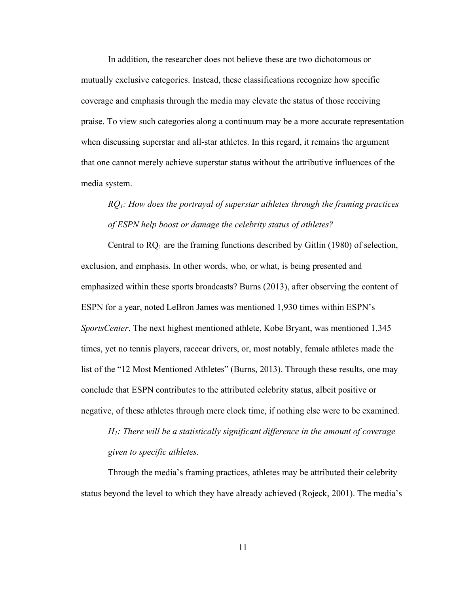In addition, the researcher does not believe these are two dichotomous or mutually exclusive categories. Instead, these classifications recognize how specific coverage and emphasis through the media may elevate the status of those receiving praise. To view such categories along a continuum may be a more accurate representation when discussing superstar and all-star athletes. In this regard, it remains the argument that one cannot merely achieve superstar status without the attributive influences of the media system.

# *RQ1: How does the portrayal of superstar athletes through the framing practices of ESPN help boost or damage the celebrity status of athletes?*

Central to  $RQ_1$  are the framing functions described by Gitlin (1980) of selection, exclusion, and emphasis. In other words, who, or what, is being presented and emphasized within these sports broadcasts? Burns (2013), after observing the content of ESPN for a year, noted LeBron James was mentioned 1,930 times within ESPN's *SportsCenter*. The next highest mentioned athlete, Kobe Bryant, was mentioned 1,345 times, yet no tennis players, racecar drivers, or, most notably, female athletes made the list of the "12 Most Mentioned Athletes" (Burns, 2013). Through these results, one may conclude that ESPN contributes to the attributed celebrity status, albeit positive or negative, of these athletes through mere clock time, if nothing else were to be examined.

*H1: There will be a statistically significant difference in the amount of coverage given to specific athletes.*

Through the media's framing practices, athletes may be attributed their celebrity status beyond the level to which they have already achieved (Rojeck, 2001). The media's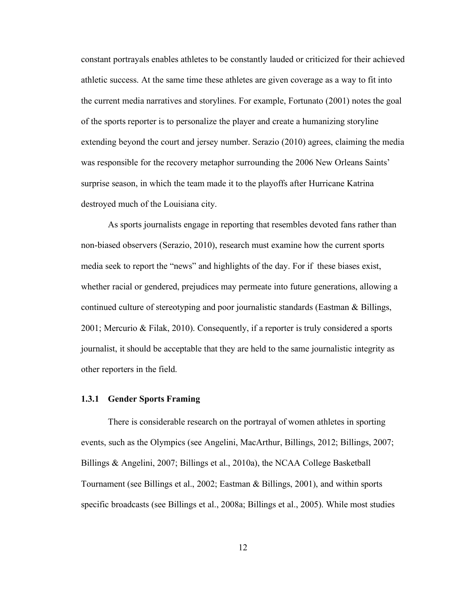constant portrayals enables athletes to be constantly lauded or criticized for their achieved athletic success. At the same time these athletes are given coverage as a way to fit into the current media narratives and storylines. For example, Fortunato (2001) notes the goal of the sports reporter is to personalize the player and create a humanizing storyline extending beyond the court and jersey number. Serazio (2010) agrees, claiming the media was responsible for the recovery metaphor surrounding the 2006 New Orleans Saints' surprise season, in which the team made it to the playoffs after Hurricane Katrina destroyed much of the Louisiana city.

As sports journalists engage in reporting that resembles devoted fans rather than non-biased observers (Serazio, 2010), research must examine how the current sports media seek to report the "news" and highlights of the day. For if these biases exist, whether racial or gendered, prejudices may permeate into future generations, allowing a continued culture of stereotyping and poor journalistic standards (Eastman & Billings, 2001; Mercurio & Filak, 2010). Consequently, if a reporter is truly considered a sports journalist, it should be acceptable that they are held to the same journalistic integrity as other reporters in the field.

#### **1.3.1 Gender Sports Framing**

There is considerable research on the portrayal of women athletes in sporting events, such as the Olympics (see Angelini, MacArthur, Billings, 2012; Billings, 2007; Billings & Angelini, 2007; Billings et al., 2010a), the NCAA College Basketball Tournament (see Billings et al., 2002; Eastman & Billings, 2001), and within sports specific broadcasts (see Billings et al., 2008a; Billings et al., 2005). While most studies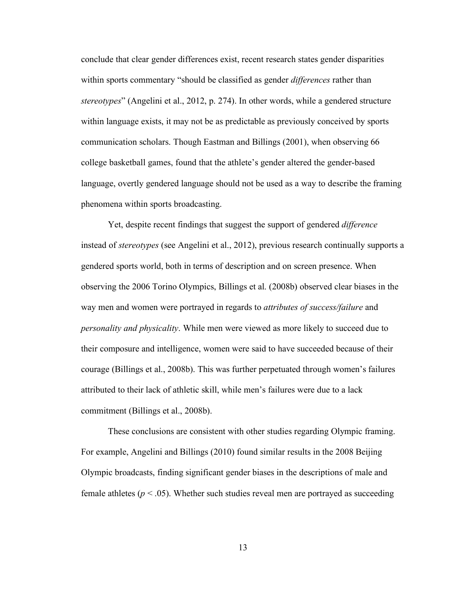conclude that clear gender differences exist, recent research states gender disparities within sports commentary "should be classified as gender *differences* rather than *stereotypes*" (Angelini et al., 2012, p. 274). In other words, while a gendered structure within language exists, it may not be as predictable as previously conceived by sports communication scholars. Though Eastman and Billings (2001), when observing 66 college basketball games, found that the athlete's gender altered the gender-based language, overtly gendered language should not be used as a way to describe the framing phenomena within sports broadcasting.

Yet, despite recent findings that suggest the support of gendered *difference* instead of *stereotypes* (see Angelini et al., 2012), previous research continually supports a gendered sports world, both in terms of description and on screen presence. When observing the 2006 Torino Olympics, Billings et al. (2008b) observed clear biases in the way men and women were portrayed in regards to *attributes of success/failure* and *personality and physicality*. While men were viewed as more likely to succeed due to their composure and intelligence, women were said to have succeeded because of their courage (Billings et al., 2008b). This was further perpetuated through women's failures attributed to their lack of athletic skill, while men's failures were due to a lack commitment (Billings et al., 2008b).

These conclusions are consistent with other studies regarding Olympic framing. For example, Angelini and Billings (2010) found similar results in the 2008 Beijing Olympic broadcasts, finding significant gender biases in the descriptions of male and female athletes ( $p < .05$ ). Whether such studies reveal men are portrayed as succeeding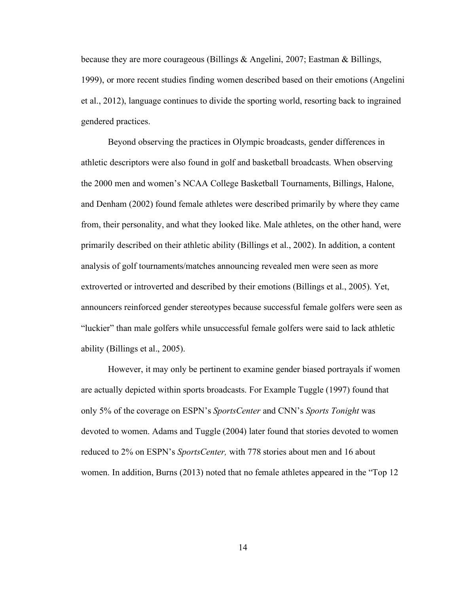because they are more courageous (Billings & Angelini, 2007; Eastman & Billings, 1999), or more recent studies finding women described based on their emotions (Angelini et al., 2012), language continues to divide the sporting world, resorting back to ingrained gendered practices.

Beyond observing the practices in Olympic broadcasts, gender differences in athletic descriptors were also found in golf and basketball broadcasts. When observing the 2000 men and women's NCAA College Basketball Tournaments, Billings, Halone, and Denham (2002) found female athletes were described primarily by where they came from, their personality, and what they looked like. Male athletes, on the other hand, were primarily described on their athletic ability (Billings et al., 2002). In addition, a content analysis of golf tournaments/matches announcing revealed men were seen as more extroverted or introverted and described by their emotions (Billings et al., 2005). Yet, announcers reinforced gender stereotypes because successful female golfers were seen as "luckier" than male golfers while unsuccessful female golfers were said to lack athletic ability (Billings et al., 2005).

However, it may only be pertinent to examine gender biased portrayals if women are actually depicted within sports broadcasts. For Example Tuggle (1997) found that only 5% of the coverage on ESPN's *SportsCenter* and CNN's *Sports Tonight* was devoted to women. Adams and Tuggle (2004) later found that stories devoted to women reduced to 2% on ESPN's *SportsCenter,* with 778 stories about men and 16 about women. In addition, Burns (2013) noted that no female athletes appeared in the "Top 12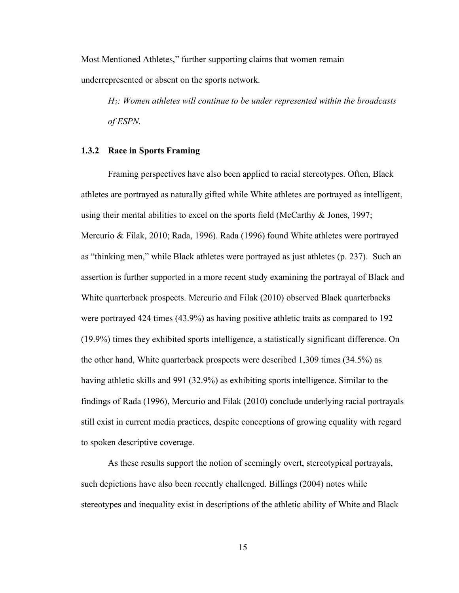Most Mentioned Athletes," further supporting claims that women remain underrepresented or absent on the sports network.

*H2: Women athletes will continue to be under represented within the broadcasts of ESPN.*

#### **1.3.2 Race in Sports Framing**

Framing perspectives have also been applied to racial stereotypes. Often, Black athletes are portrayed as naturally gifted while White athletes are portrayed as intelligent, using their mental abilities to excel on the sports field (McCarthy & Jones, 1997; Mercurio & Filak, 2010; Rada, 1996). Rada (1996) found White athletes were portrayed as "thinking men," while Black athletes were portrayed as just athletes (p. 237). Such an assertion is further supported in a more recent study examining the portrayal of Black and White quarterback prospects. Mercurio and Filak (2010) observed Black quarterbacks were portrayed 424 times (43.9%) as having positive athletic traits as compared to 192 (19.9%) times they exhibited sports intelligence, a statistically significant difference. On the other hand, White quarterback prospects were described 1,309 times (34.5%) as having athletic skills and 991 (32.9%) as exhibiting sports intelligence. Similar to the findings of Rada (1996), Mercurio and Filak (2010) conclude underlying racial portrayals still exist in current media practices, despite conceptions of growing equality with regard to spoken descriptive coverage.

As these results support the notion of seemingly overt, stereotypical portrayals, such depictions have also been recently challenged. Billings (2004) notes while stereotypes and inequality exist in descriptions of the athletic ability of White and Black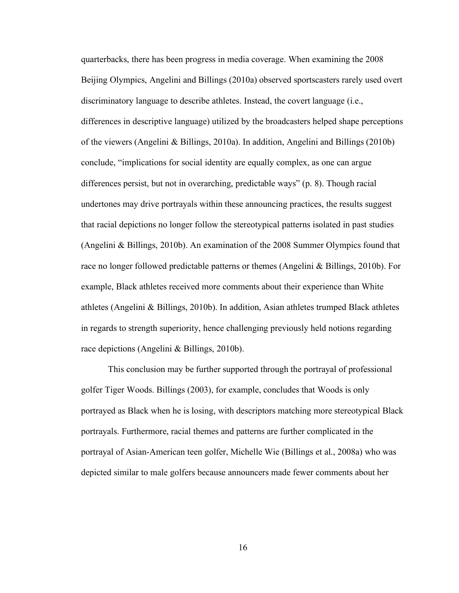quarterbacks, there has been progress in media coverage. When examining the 2008 Beijing Olympics, Angelini and Billings (2010a) observed sportscasters rarely used overt discriminatory language to describe athletes. Instead, the covert language (i.e., differences in descriptive language) utilized by the broadcasters helped shape perceptions of the viewers (Angelini & Billings, 2010a). In addition, Angelini and Billings (2010b) conclude, "implications for social identity are equally complex, as one can argue differences persist, but not in overarching, predictable ways" (p. 8). Though racial undertones may drive portrayals within these announcing practices, the results suggest that racial depictions no longer follow the stereotypical patterns isolated in past studies (Angelini & Billings, 2010b). An examination of the 2008 Summer Olympics found that race no longer followed predictable patterns or themes (Angelini & Billings, 2010b). For example, Black athletes received more comments about their experience than White athletes (Angelini & Billings, 2010b). In addition, Asian athletes trumped Black athletes in regards to strength superiority, hence challenging previously held notions regarding race depictions (Angelini & Billings, 2010b).

This conclusion may be further supported through the portrayal of professional golfer Tiger Woods. Billings (2003), for example, concludes that Woods is only portrayed as Black when he is losing, with descriptors matching more stereotypical Black portrayals. Furthermore, racial themes and patterns are further complicated in the portrayal of Asian-American teen golfer, Michelle Wie (Billings et al., 2008a) who was depicted similar to male golfers because announcers made fewer comments about her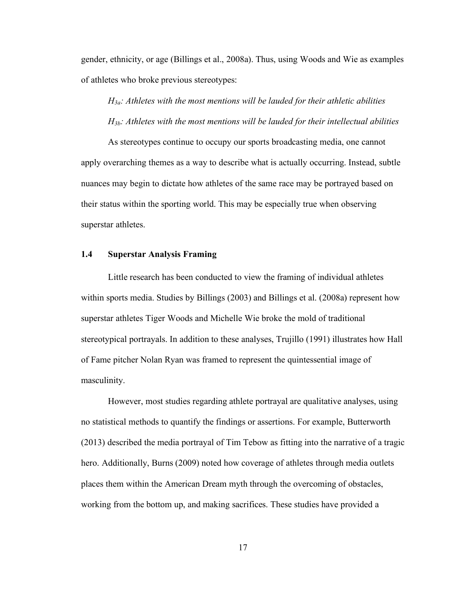gender, ethnicity, or age (Billings et al., 2008a). Thus, using Woods and Wie as examples of athletes who broke previous stereotypes:

*H3a: Athletes with the most mentions will be lauded for their athletic abilities H3b: Athletes with the most mentions will be lauded for their intellectual abilities*

As stereotypes continue to occupy our sports broadcasting media, one cannot apply overarching themes as a way to describe what is actually occurring. Instead, subtle nuances may begin to dictate how athletes of the same race may be portrayed based on their status within the sporting world. This may be especially true when observing superstar athletes.

#### **1.4 Superstar Analysis Framing**

Little research has been conducted to view the framing of individual athletes within sports media. Studies by Billings (2003) and Billings et al. (2008a) represent how superstar athletes Tiger Woods and Michelle Wie broke the mold of traditional stereotypical portrayals. In addition to these analyses, Trujillo (1991) illustrates how Hall of Fame pitcher Nolan Ryan was framed to represent the quintessential image of masculinity.

However, most studies regarding athlete portrayal are qualitative analyses, using no statistical methods to quantify the findings or assertions. For example, Butterworth (2013) described the media portrayal of Tim Tebow as fitting into the narrative of a tragic hero. Additionally, Burns (2009) noted how coverage of athletes through media outlets places them within the American Dream myth through the overcoming of obstacles, working from the bottom up, and making sacrifices. These studies have provided a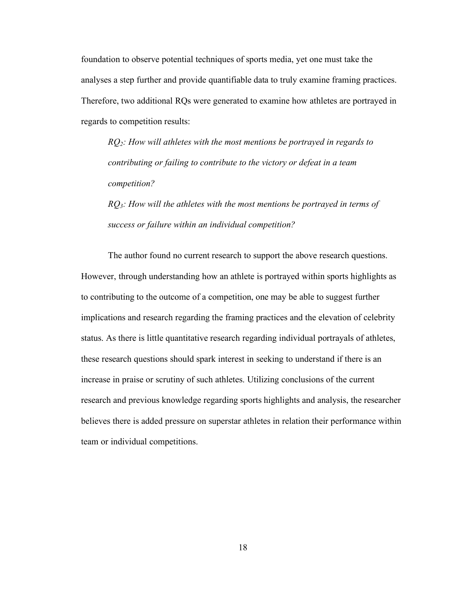foundation to observe potential techniques of sports media, yet one must take the analyses a step further and provide quantifiable data to truly examine framing practices. Therefore, two additional RQs were generated to examine how athletes are portrayed in regards to competition results:

*RQ2: How will athletes with the most mentions be portrayed in regards to contributing or failing to contribute to the victory or defeat in a team competition?*

*RQ3: How will the athletes with the most mentions be portrayed in terms of success or failure within an individual competition?* 

The author found no current research to support the above research questions. However, through understanding how an athlete is portrayed within sports highlights as to contributing to the outcome of a competition, one may be able to suggest further implications and research regarding the framing practices and the elevation of celebrity status. As there is little quantitative research regarding individual portrayals of athletes, these research questions should spark interest in seeking to understand if there is an increase in praise or scrutiny of such athletes. Utilizing conclusions of the current research and previous knowledge regarding sports highlights and analysis, the researcher believes there is added pressure on superstar athletes in relation their performance within team or individual competitions.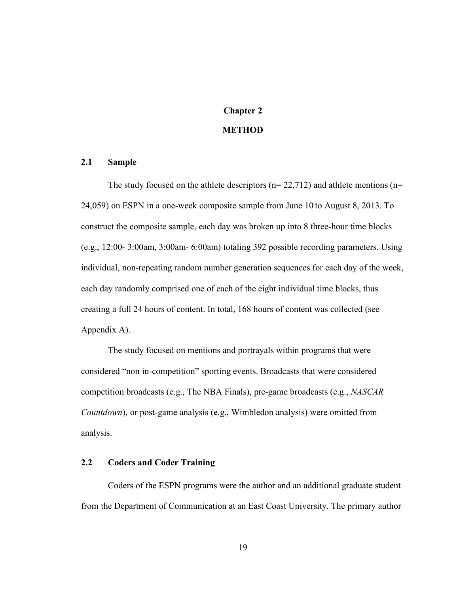# **Chapter 2 METHOD**

# **2.1 Sample**

The study focused on the athlete descriptors ( $n= 22,712$ ) and athlete mentions ( $n=$ 24,059) on ESPN in a one-week composite sample from June 10 to August 8, 2013. To construct the composite sample, each day was broken up into 8 three-hour time blocks (e.g., 12:00- 3:00am, 3:00am- 6:00am) totaling 392 possible recording parameters. Using individual, non-repeating random number generation sequences for each day of the week, each day randomly comprised one of each of the eight individual time blocks, thus creating a full 24 hours of content. In total, 168 hours of content was collected (see Appendix A).

The study focused on mentions and portrayals within programs that were considered "non in-competition" sporting events. Broadcasts that were considered competition broadcasts (e.g., The NBA Finals), pre-game broadcasts (e.g., *NASCAR Countdown*), or post-game analysis (e.g., Wimbledon analysis) were omitted from analysis.

## **2.2 Coders and Coder Training**

Coders of the ESPN programs were the author and an additional graduate student from the Department of Communication at an East Coast University. The primary author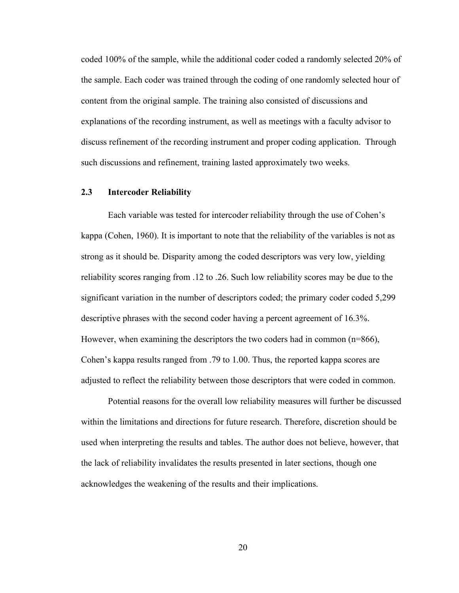coded 100% of the sample, while the additional coder coded a randomly selected 20% of the sample. Each coder was trained through the coding of one randomly selected hour of content from the original sample. The training also consisted of discussions and explanations of the recording instrument, as well as meetings with a faculty advisor to discuss refinement of the recording instrument and proper coding application. Through such discussions and refinement, training lasted approximately two weeks.

#### **2.3 Intercoder Reliability**

Each variable was tested for intercoder reliability through the use of Cohen's kappa (Cohen, 1960). It is important to note that the reliability of the variables is not as strong as it should be. Disparity among the coded descriptors was very low, yielding reliability scores ranging from .12 to .26. Such low reliability scores may be due to the significant variation in the number of descriptors coded; the primary coder coded 5,299 descriptive phrases with the second coder having a percent agreement of 16.3%. However, when examining the descriptors the two coders had in common (n=866), Cohen's kappa results ranged from .79 to 1.00. Thus, the reported kappa scores are adjusted to reflect the reliability between those descriptors that were coded in common.

Potential reasons for the overall low reliability measures will further be discussed within the limitations and directions for future research. Therefore, discretion should be used when interpreting the results and tables. The author does not believe, however, that the lack of reliability invalidates the results presented in later sections, though one acknowledges the weakening of the results and their implications.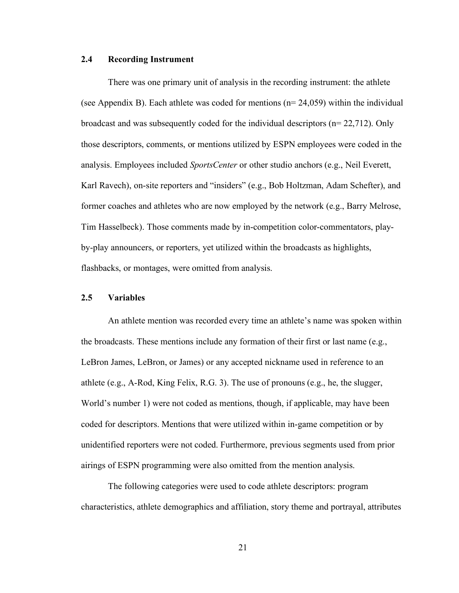#### **2.4 Recording Instrument**

There was one primary unit of analysis in the recording instrument: the athlete (see Appendix B). Each athlete was coded for mentions ( $n= 24,059$ ) within the individual broadcast and was subsequently coded for the individual descriptors (n= 22,712). Only those descriptors, comments, or mentions utilized by ESPN employees were coded in the analysis. Employees included *SportsCenter* or other studio anchors (e.g., Neil Everett, Karl Ravech), on-site reporters and "insiders" (e.g., Bob Holtzman, Adam Schefter), and former coaches and athletes who are now employed by the network (e.g., Barry Melrose, Tim Hasselbeck). Those comments made by in-competition color-commentators, playby-play announcers, or reporters, yet utilized within the broadcasts as highlights, flashbacks, or montages, were omitted from analysis.

### **2.5 Variables**

An athlete mention was recorded every time an athlete's name was spoken within the broadcasts. These mentions include any formation of their first or last name (e.g., LeBron James, LeBron, or James) or any accepted nickname used in reference to an athlete (e.g., A-Rod, King Felix, R.G. 3). The use of pronouns (e.g., he, the slugger, World's number 1) were not coded as mentions, though, if applicable, may have been coded for descriptors. Mentions that were utilized within in-game competition or by unidentified reporters were not coded. Furthermore, previous segments used from prior airings of ESPN programming were also omitted from the mention analysis.

The following categories were used to code athlete descriptors: program characteristics, athlete demographics and affiliation, story theme and portrayal, attributes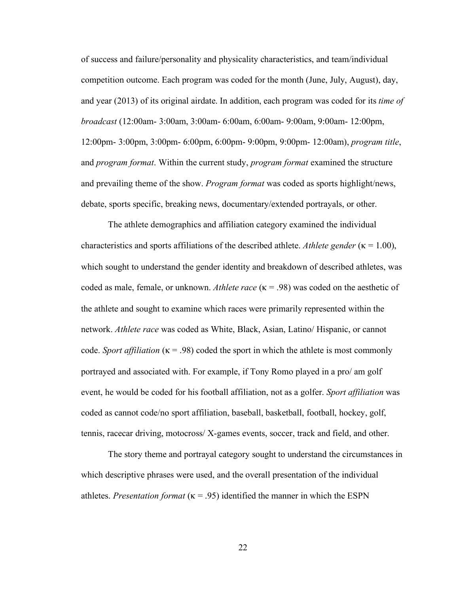of success and failure/personality and physicality characteristics, and team/individual competition outcome. Each program was coded for the month (June, July, August), day, and year (2013) of its original airdate. In addition, each program was coded for its *time of broadcast* (12:00am- 3:00am, 3:00am- 6:00am, 6:00am- 9:00am, 9:00am- 12:00pm, 12:00pm- 3:00pm, 3:00pm- 6:00pm, 6:00pm- 9:00pm, 9:00pm- 12:00am), *program title*, and *program format*. Within the current study, *program format* examined the structure and prevailing theme of the show. *Program format* was coded as sports highlight/news, debate, sports specific, breaking news, documentary/extended portrayals, or other.

The athlete demographics and affiliation category examined the individual characteristics and sports affiliations of the described athlete. *Athlete gender* ( $\kappa = 1.00$ ), which sought to understand the gender identity and breakdown of described athletes, was coded as male, female, or unknown. *Athlete race* (κ = .98) was coded on the aesthetic of the athlete and sought to examine which races were primarily represented within the network. *Athlete race* was coded as White, Black, Asian, Latino/ Hispanic, or cannot code. *Sport affiliation*  $(\kappa = .98)$  coded the sport in which the athlete is most commonly portrayed and associated with. For example, if Tony Romo played in a pro/ am golf event, he would be coded for his football affiliation, not as a golfer. *Sport affiliation* was coded as cannot code/no sport affiliation, baseball, basketball, football, hockey, golf, tennis, racecar driving, motocross/ X-games events, soccer, track and field, and other.

The story theme and portrayal category sought to understand the circumstances in which descriptive phrases were used, and the overall presentation of the individual athletes. *Presentation format*  $(\kappa = .95)$  identified the manner in which the ESPN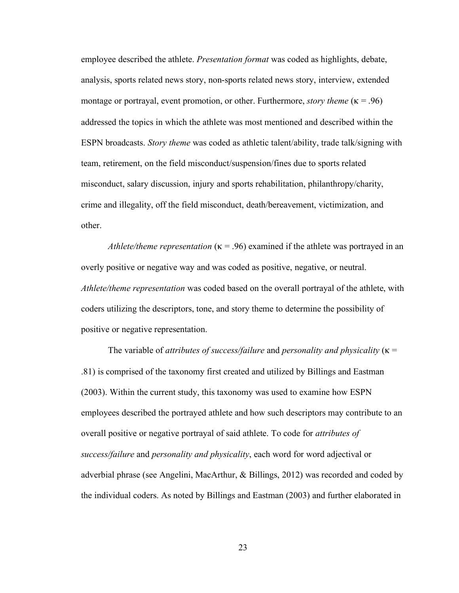employee described the athlete. *Presentation format* was coded as highlights, debate, analysis, sports related news story, non-sports related news story, interview, extended montage or portrayal, event promotion, or other. Furthermore, *story theme* (κ = .96) addressed the topics in which the athlete was most mentioned and described within the ESPN broadcasts. *Story theme* was coded as athletic talent/ability, trade talk/signing with team, retirement, on the field misconduct/suspension/fines due to sports related misconduct, salary discussion, injury and sports rehabilitation, philanthropy/charity, crime and illegality, off the field misconduct, death/bereavement, victimization, and other.

*Athlete/theme representation*  $(\kappa = .96)$  examined if the athlete was portrayed in an overly positive or negative way and was coded as positive, negative, or neutral. *Athlete/theme representation* was coded based on the overall portrayal of the athlete, with coders utilizing the descriptors, tone, and story theme to determine the possibility of positive or negative representation.

The variable of *attributes of success/failure* and *personality and physicality* (κ = .81) is comprised of the taxonomy first created and utilized by Billings and Eastman (2003). Within the current study, this taxonomy was used to examine how ESPN employees described the portrayed athlete and how such descriptors may contribute to an overall positive or negative portrayal of said athlete. To code for *attributes of success/failure* and *personality and physicality*, each word for word adjectival or adverbial phrase (see Angelini, MacArthur, & Billings, 2012) was recorded and coded by the individual coders. As noted by Billings and Eastman (2003) and further elaborated in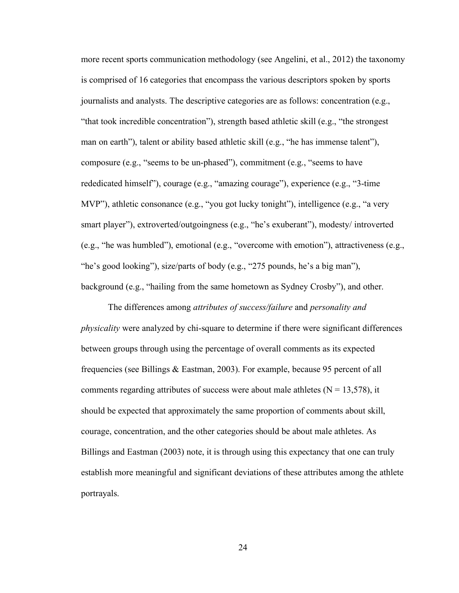more recent sports communication methodology (see Angelini, et al., 2012) the taxonomy is comprised of 16 categories that encompass the various descriptors spoken by sports journalists and analysts. The descriptive categories are as follows: concentration (e.g., "that took incredible concentration"), strength based athletic skill (e.g., "the strongest man on earth"), talent or ability based athletic skill (e.g., "he has immense talent"), composure (e.g., "seems to be un-phased"), commitment (e.g., "seems to have rededicated himself"), courage (e.g., "amazing courage"), experience (e.g., "3-time MVP"), athletic consonance (e.g., "you got lucky tonight"), intelligence (e.g., "a very smart player"), extroverted/outgoingness (e.g., "he's exuberant"), modesty/ introverted (e.g., "he was humbled"), emotional (e.g., "overcome with emotion"), attractiveness (e.g., "he's good looking"), size/parts of body (e.g., "275 pounds, he's a big man"), background (e.g., "hailing from the same hometown as Sydney Crosby"), and other.

The differences among *attributes of success/failure* and *personality and physicality* were analyzed by chi-square to determine if there were significant differences between groups through using the percentage of overall comments as its expected frequencies (see Billings & Eastman, 2003). For example, because 95 percent of all comments regarding attributes of success were about male athletes  $(N = 13,578)$ , it should be expected that approximately the same proportion of comments about skill, courage, concentration, and the other categories should be about male athletes. As Billings and Eastman (2003) note, it is through using this expectancy that one can truly establish more meaningful and significant deviations of these attributes among the athlete portrayals.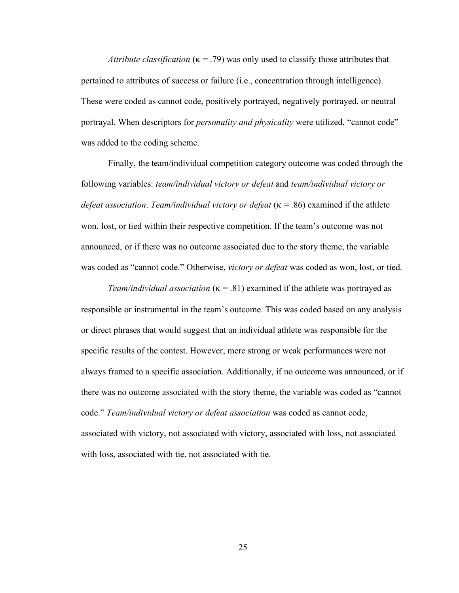*Attribute classification* (κ = .79) was only used to classify those attributes that pertained to attributes of success or failure (i.e., concentration through intelligence). These were coded as cannot code, positively portrayed, negatively portrayed, or neutral portrayal. When descriptors for *personality and physicality* were utilized, "cannot code" was added to the coding scheme.

Finally, the team/individual competition category outcome was coded through the following variables: *team/individual victory or defeat* and *team/individual victory or defeat association*. *Team/individual victory or defeat* (κ = .86) examined if the athlete won, lost, or tied within their respective competition. If the team's outcome was not announced, or if there was no outcome associated due to the story theme, the variable was coded as "cannot code." Otherwise, *victory or defeat* was coded as won, lost, or tied.

*Team/individual association*  $(\kappa = .81)$  examined if the athlete was portrayed as responsible or instrumental in the team's outcome. This was coded based on any analysis or direct phrases that would suggest that an individual athlete was responsible for the specific results of the contest. However, mere strong or weak performances were not always framed to a specific association. Additionally, if no outcome was announced, or if there was no outcome associated with the story theme, the variable was coded as "cannot code." *Team/individual victory or defeat association* was coded as cannot code, associated with victory, not associated with victory, associated with loss, not associated with loss, associated with tie, not associated with tie.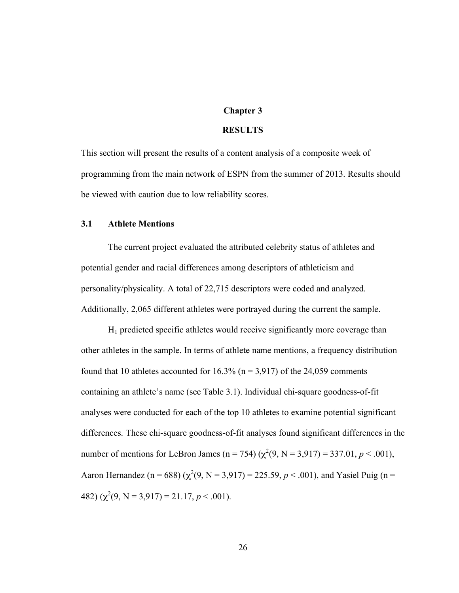### **Chapter 3**

#### **RESULTS**

This section will present the results of a content analysis of a composite week of programming from the main network of ESPN from the summer of 2013. Results should be viewed with caution due to low reliability scores.

#### **3.1 Athlete Mentions**

The current project evaluated the attributed celebrity status of athletes and potential gender and racial differences among descriptors of athleticism and personality/physicality. A total of 22,715 descriptors were coded and analyzed. Additionally, 2,065 different athletes were portrayed during the current the sample.

 $H_1$  predicted specific athletes would receive significantly more coverage than other athletes in the sample. In terms of athlete name mentions, a frequency distribution found that 10 athletes accounted for  $16.3\%$  (n = 3,917) of the 24,059 comments containing an athlete's name (see Table 3.1). Individual chi-square goodness-of-fit analyses were conducted for each of the top 10 athletes to examine potential significant differences. These chi-square goodness-of-fit analyses found significant differences in the number of mentions for LeBron James (n = 754) ( $\chi^2(9, N = 3.917) = 337.01, p < .001$ ), Aaron Hernandez (n = 688) ( $\chi^2(9, N = 3.917) = 225.59, p < .001$ ), and Yasiel Puig (n = 482)  $(\chi^2(9, N = 3.917) = 21.17, p < .001)$ .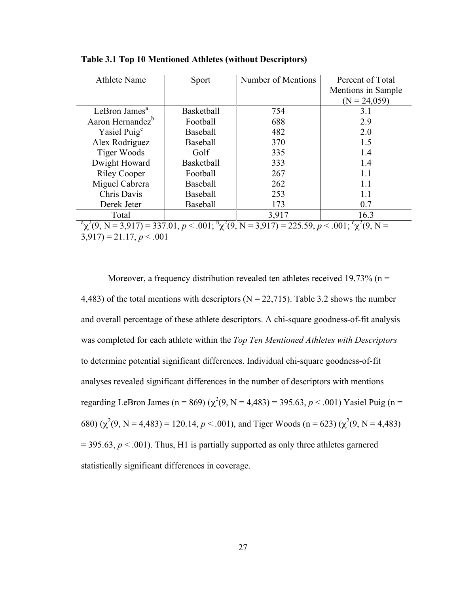| <b>Athlete Name</b>                                                                                          | Sport             | Number of Mentions | Percent of Total<br>Mentions in Sample<br>$(N = 24,059)$ |
|--------------------------------------------------------------------------------------------------------------|-------------------|--------------------|----------------------------------------------------------|
| LeBron James <sup>a</sup>                                                                                    | <b>Basketball</b> | 754                | 3.1                                                      |
| Aaron Hernandez <sup>b</sup>                                                                                 | Football          | 688                | 2.9                                                      |
| Yasiel Puig <sup>c</sup>                                                                                     | <b>Baseball</b>   | 482                | 2.0                                                      |
| Alex Rodriguez                                                                                               | Baseball          | 370                | 1.5                                                      |
| Tiger Woods                                                                                                  | Golf              | 335                | 1.4                                                      |
| Dwight Howard                                                                                                | Basketball        | 333                | 1.4                                                      |
| <b>Riley Cooper</b>                                                                                          | Football          | 267                | 1.1                                                      |
| Miguel Cabrera                                                                                               | <b>Baseball</b>   | 262                | 1.1                                                      |
| Chris Davis                                                                                                  | Baseball          | 253                | 11                                                       |
| Derek Jeter                                                                                                  | Baseball          | 173                | 0.7                                                      |
| Total                                                                                                        |                   | 3,917              | 16.3                                                     |
| $(9, N = 3.917) = 337.01, p < .001; {^b \chi^2}(9, N = 3.917) = 225.59, p < .001; {^c \chi^2}(9, N = 1.001)$ |                   |                    |                                                          |

**Table 3.1 Top 10 Mentioned Athletes (without Descriptors)**

 $3,917$ ) = 21.17, *p* < .001

Moreover, a frequency distribution revealed ten athletes received 19.73% ( $n =$ 4,483) of the total mentions with descriptors ( $N = 22,715$ ). Table 3.2 shows the number and overall percentage of these athlete descriptors. A chi-square goodness-of-fit analysis was completed for each athlete within the *Top Ten Mentioned Athletes with Descriptors* to determine potential significant differences. Individual chi-square goodness-of-fit analyses revealed significant differences in the number of descriptors with mentions regarding LeBron James (n = 869) ( $\chi^2(9)$ , N = 4,483) = 395.63, p < .001) Yasiel Puig (n = 680)  $(\chi^2(9) \text{ N} = 4,483) = 120.14, p < .001)$ , and Tiger Woods (n = 623)  $(\chi^2(9) \text{ N} = 4,483)$  $= 395.63, p \le 0.001$ ). Thus, H<sub>1</sub> is partially supported as only three athletes garnered statistically significant differences in coverage.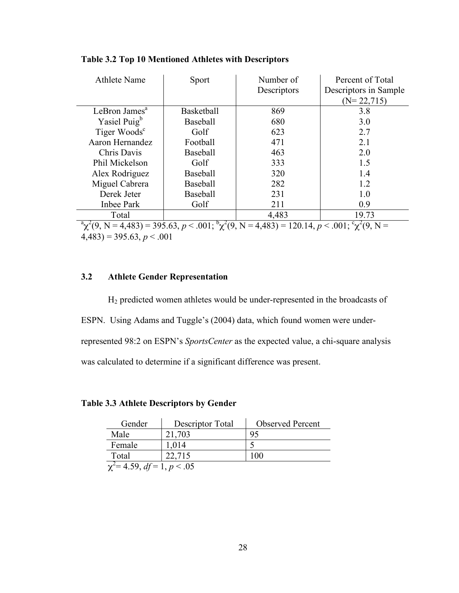| <b>Athlete Name</b>                                                                                            | Sport             | Number of<br>Descriptors | Percent of Total<br>Descriptors in Sample<br>$(N=22,715)$ |
|----------------------------------------------------------------------------------------------------------------|-------------------|--------------------------|-----------------------------------------------------------|
| LeBron James <sup>a</sup>                                                                                      | <b>Basketball</b> | 869                      | 3.8                                                       |
| Yasiel Puig <sup>b</sup>                                                                                       | <b>Baseball</b>   | 680                      | 3.0                                                       |
| Tiger Woods <sup>c</sup>                                                                                       | Golf              | 623                      | 2.7                                                       |
| Aaron Hernandez                                                                                                | Football          | 471                      | 2.1                                                       |
| Chris Davis                                                                                                    | Baseball          | 463                      | 2.0                                                       |
| Phil Mickelson                                                                                                 | Golf              | 333                      | 1.5                                                       |
| Alex Rodriguez                                                                                                 | <b>Baseball</b>   | 320                      | 1.4                                                       |
| Miguel Cabrera                                                                                                 | Baseball          | 282                      | 1.2                                                       |
| Derek Jeter                                                                                                    | Baseball          | 231                      | 1.0                                                       |
| Inbee Park                                                                                                     | Golf              | 211                      | 0.9                                                       |
| Total                                                                                                          |                   | 4,483                    | 19.73                                                     |
| $\alpha^2$ (9, N = 4,483) = 395.63, p < .001; $\alpha^2$ (9, N = 4,483) = 120.14, p < .001; $\alpha^2$ (9, N = |                   |                          |                                                           |

## **Table 3.2 Top 10 Mentioned Athletes with Descriptors**

 $(4,483) = 395.63, p < .001$ 

# **3.2 Athlete Gender Representation**

H2 predicted women athletes would be under-represented in the broadcasts of ESPN. Using Adams and Tuggle's (2004) data, which found women were underrepresented 98:2 on ESPN's *SportsCenter* as the expected value, a chi-square analysis was calculated to determine if a significant difference was present.

| <b>Table 3.3 Athlete Descriptors by Gender</b> |  |  |  |  |  |
|------------------------------------------------|--|--|--|--|--|
|------------------------------------------------|--|--|--|--|--|

| Gender                           | Descriptor Total | <b>Observed Percent</b> |  |
|----------------------------------|------------------|-------------------------|--|
| Male                             | 21,703           |                         |  |
| Female                           | 1.014            |                         |  |
| Total                            | 22 7 15          | 100                     |  |
| $\chi^2$ = 4.59, df = 1, p < .05 |                  |                         |  |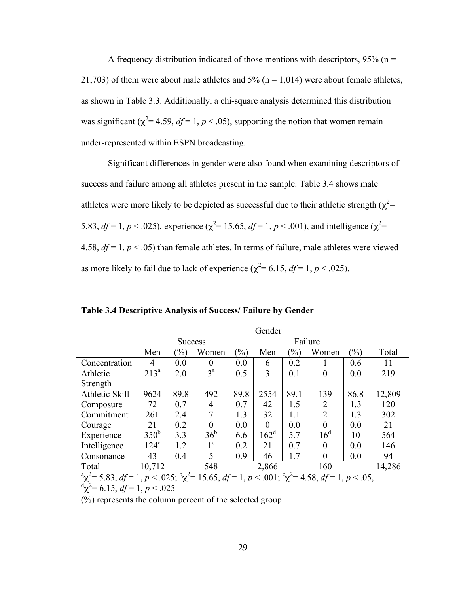A frequency distribution indicated of those mentions with descriptors,  $95\%$  (n = 21,703) of them were about male athletes and  $5\%$  (n = 1,014) were about female athletes, as shown in Table 3.3. Additionally, a chi-square analysis determined this distribution was significant ( $\chi^2$ = 4.59, *df* = 1, *p* < .05), supporting the notion that women remain under-represented within ESPN broadcasting.

Significant differences in gender were also found when examining descriptors of success and failure among all athletes present in the sample. Table 3.4 shows male athletes were more likely to be depicted as successful due to their athletic strength  $(\chi^2=$ 5.83,  $df = 1, p < .025$ ), experience ( $\chi^2 = 15.65$ ,  $df = 1, p < .001$ ), and intelligence ( $\chi^2 =$ 4.58,  $df = 1$ ,  $p < .05$ ) than female athletes. In terms of failure, male athletes were viewed as more likely to fail due to lack of experience ( $\chi^2$  = 6.15, *df* = 1, *p* < .025).

|                         | Gender           |                           |                                         |               |                  |               |                                                     |               |        |
|-------------------------|------------------|---------------------------|-----------------------------------------|---------------|------------------|---------------|-----------------------------------------------------|---------------|--------|
|                         |                  | Failure<br><b>Success</b> |                                         |               |                  |               |                                                     |               |        |
|                         | Men              | $\%$                      | Women                                   | $\frac{9}{0}$ | Men              | $\frac{1}{2}$ | Women                                               | $\frac{1}{2}$ | Total  |
| Concentration           | 4                | 0.0                       | 0                                       | 0.0           | 6                | 0.2           |                                                     | 0.6           | 11     |
| Athletic                | $213^a$          | 2.0                       | $3^{\mathrm{a}}$                        | 0.5           | 3                | 0.1           | $\overline{0}$                                      | 0.0           | 219    |
| Strength                |                  |                           |                                         |               |                  |               |                                                     |               |        |
| Athletic Skill          | 9624             | 89.8                      | 492                                     | 89.8          | 2554             | 89.1          | 139                                                 | 86.8          | 12,809 |
| Composure               | 72               | 0.7                       | 4                                       | 0.7           | 42               | 1.5           | 2                                                   | 1.3           | 120    |
| Commitment              | 261              | 2.4                       | 7                                       | 1.3           | 32               | 1.1           | $\overline{2}$                                      | 1.3           | 302    |
| Courage                 | 21               | 0.2                       | $\theta$                                | 0.0           | $\theta$         | 0.0           | $\theta$                                            | 0.0           | 21     |
| Experience              | 350 <sup>b</sup> | 3.3                       | 36 <sup>b</sup>                         | 6.6           | 162 <sup>d</sup> | 5.7           | 16 <sup>d</sup>                                     | 10            | 564    |
| Intelligence            | $124^{\circ}$    | 1.2                       | $1^{\circ}$                             | 0.2           | 21               | 0.7           | $\theta$                                            | 0.0           | 146    |
| Consonance              | 43               | 0.4                       | 5                                       | 0.9           | 46               | 1.7           | $\theta$                                            | 0.0           | 94     |
| Total                   | 10,712           |                           | 548                                     |               | 2,866            |               | 160                                                 |               | 14,286 |
| $a_{2}^2$ = 5.83 df - 1 |                  |                           | $n < 0.25$ , $\frac{b}{2}$ 15.65 df - 1 |               |                  |               | $n < 0.01 \cdot \frac{c_{12}^2}{a} - 4.58$ $df - 1$ | n < 05        |        |

**Table 3.4 Descriptive Analysis of Success/ Failure by Gender**

 $\alpha^2 \chi^2 = 5.83$ ,  $df = 1$ ,  $p < .025$ ;  $\alpha^2 = 15.65$ ,  $df = 1$ ,  $p < .001$ ;  $\alpha^2 = 4.58$ ,  $df = 1$ ,  $p < .05$ ,  $\alpha^d \chi^2 = 6.15$ ,  $df = 1$ ,  $p < .025$ 

(%) represents the column percent of the selected group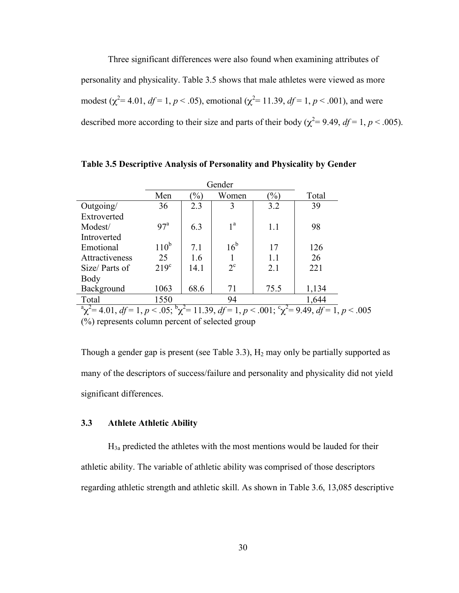Three significant differences were also found when examining attributes of personality and physicality. Table 3.5 shows that male athletes were viewed as more modest ( $\chi^2$  = 4.01, *df* = 1, *p* < .05), emotional ( $\chi^2$  = 11.39, *df* = 1, *p* < .001), and were described more according to their size and parts of their body ( $\chi^2$ = 9.49, *df* = 1, *p* < .005).

|                |                  | Gender |                |               |                                                                                                                                                   |
|----------------|------------------|--------|----------------|---------------|---------------------------------------------------------------------------------------------------------------------------------------------------|
|                | Men              | $\%$   | Women          | $\frac{9}{0}$ | Total                                                                                                                                             |
| Outgoing/      | 36               | 2.3    | 3              | 3.2           | 39                                                                                                                                                |
| Extroverted    |                  |        |                |               |                                                                                                                                                   |
| Modest/        | 97 <sup>a</sup>  | 6.3    | 1 <sup>a</sup> | 1.1           | 98                                                                                                                                                |
| Introverted    |                  |        |                |               |                                                                                                                                                   |
| Emotional      | $110^b$          | 7.1    | $16^{\rm b}$   | 17            | 126                                                                                                                                               |
| Attractiveness | 25               | 1.6    |                | 1.1           | 26                                                                                                                                                |
| Size/Parts of  | 219 <sup>c</sup> | 14.1   | $2^{\circ}$    | 2.1           | 221                                                                                                                                               |
| Body           |                  |        |                |               |                                                                                                                                                   |
| Background     | 1063             | 68.6   | 71             | 75.5          | 1,134                                                                                                                                             |
| Total          | 1550             |        | 94             |               | 1,644                                                                                                                                             |
|                |                  |        |                |               | $\sqrt[3]{a} \chi^2 = 4.01$ , $df = 1$ , $p < .05$ ; $\sqrt[5]{\chi^2} = 11.39$ , $df = 1$ , $p < .001$ ; $\chi^2 = 9.49$ , $df = 1$ , $p < .005$ |

**Table 3.5 Descriptive Analysis of Personality and Physicality by Gender**

(%) represents column percent of selected group

Though a gender gap is present (see Table 3.3),  $H_2$  may only be partially supported as many of the descriptors of success/failure and personality and physicality did not yield significant differences.

# **3.3 Athlete Athletic Ability**

 $H_{3a}$  predicted the athletes with the most mentions would be lauded for their athletic ability. The variable of athletic ability was comprised of those descriptors regarding athletic strength and athletic skill. As shown in Table 3.6, 13,085 descriptive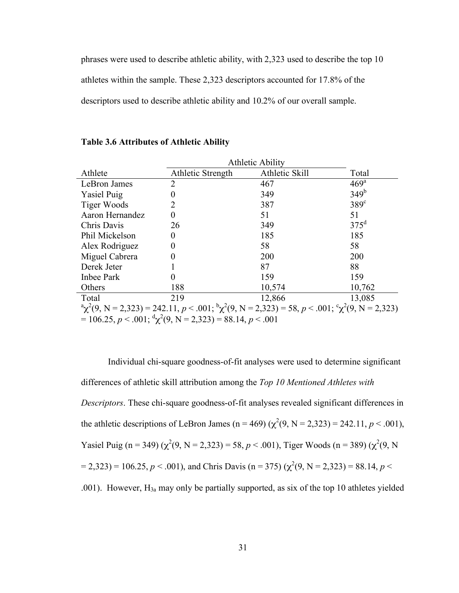phrases were used to describe athletic ability, with 2,323 used to describe the top 10 athletes within the sample. These 2,323 descriptors accounted for 17.8% of the descriptors used to describe athletic ability and 10.2% of our overall sample.

|                    | <b>Athletic Ability</b> |                                                                                                            |                  |  |  |  |  |
|--------------------|-------------------------|------------------------------------------------------------------------------------------------------------|------------------|--|--|--|--|
| Athlete            | Athletic Strength       | Athletic Skill                                                                                             | Total            |  |  |  |  |
| LeBron James       | $\overline{2}$          | 467                                                                                                        | 469 <sup>a</sup> |  |  |  |  |
| <b>Yasiel Puig</b> | 0                       | 349                                                                                                        | 349 <sup>b</sup> |  |  |  |  |
| Tiger Woods        | 2                       | 387                                                                                                        | $389^\circ$      |  |  |  |  |
| Aaron Hernandez    | $\theta$                | 51                                                                                                         | 51               |  |  |  |  |
| Chris Davis        | 26                      | 349                                                                                                        | $375^{\rm d}$    |  |  |  |  |
| Phil Mickelson     | 0                       | 185                                                                                                        | 185              |  |  |  |  |
| Alex Rodriguez     | 0                       | 58                                                                                                         | 58               |  |  |  |  |
| Miguel Cabrera     |                         | 200                                                                                                        | 200              |  |  |  |  |
| Derek Jeter        |                         | 87                                                                                                         | 88               |  |  |  |  |
| Inbee Park         | 0                       | 159                                                                                                        | 159              |  |  |  |  |
| Others             | 188                     | 10,574                                                                                                     | 10,762           |  |  |  |  |
| Total              | 219                     | 12,866                                                                                                     | 13,085           |  |  |  |  |
|                    |                         | $\alpha^2(9, N = 2,323) = 242.11, p < .001; \alpha^3(9, N = 2,323) = 58, p < .001; \alpha^2(9, N = 2,323)$ |                  |  |  |  |  |

#### **Table 3.6 Attributes of Athletic Ability**

 $= 106.25, p < .001; \, {}^d \chi^2(9, N = 2,323) = 88.14, p < .001$ 

Individual chi-square goodness-of-fit analyses were used to determine significant differences of athletic skill attribution among the *Top 10 Mentioned Athletes with Descriptors*. These chi-square goodness-of-fit analyses revealed significant differences in the athletic descriptions of LeBron James (n = 469) ( $\chi^2(9, N = 2,323) = 242.11, p < .001$ ), Yasiel Puig (n = 349) ( $\chi^2(9)$ , N = 2,323) = 58, p < .001), Tiger Woods (n = 389) ( $\chi^2(9)$ , N  $(2,323) = 106.25, p < .001$ , and Chris Davis (n = 375) ( $\chi^2(9, N = 2,323) = 88.14, p < .001$ ) .001). However, H3a may only be partially supported, as six of the top 10 athletes yielded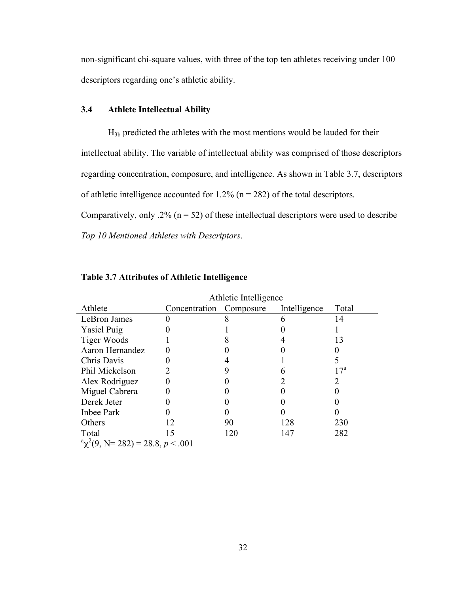non-significant chi-square values, with three of the top ten athletes receiving under 100 descriptors regarding one's athletic ability.

# **3.4 Athlete Intellectual Ability**

H3b predicted the athletes with the most mentions would be lauded for their intellectual ability. The variable of intellectual ability was comprised of those descriptors regarding concentration, composure, and intelligence. As shown in Table 3.7, descriptors of athletic intelligence accounted for  $1.2\%$  (n = 282) of the total descriptors. Comparatively, only .2% ( $n = 52$ ) of these intellectual descriptors were used to describe

*Top 10 Mentioned Athletes with Descriptors*.

|                                                | Athletic Intelligence |           |              |              |
|------------------------------------------------|-----------------------|-----------|--------------|--------------|
| Athlete                                        | Concentration         | Composure | Intelligence | Total        |
| LeBron James                                   |                       |           |              | 14           |
| <b>Yasiel Puig</b>                             |                       |           |              |              |
| Tiger Woods                                    |                       |           |              | 13           |
| Aaron Hernandez                                |                       |           |              |              |
| Chris Davis                                    |                       |           |              |              |
| Phil Mickelson                                 |                       |           |              | $17^{\rm a}$ |
| Alex Rodriguez                                 |                       |           |              |              |
| Miguel Cabrera                                 |                       |           |              |              |
| Derek Jeter                                    |                       |           |              |              |
| Inbee Park                                     |                       |           |              |              |
| Others                                         | 12                    | 90        | 128          | 230          |
| Total                                          | 15                    | 120       | 147          | 282          |
| $\alpha^2 \chi^2(9, N = 282) = 28.8, p < .001$ |                       |           |              |              |

# **Table 3.7 Attributes of Athletic Intelligence**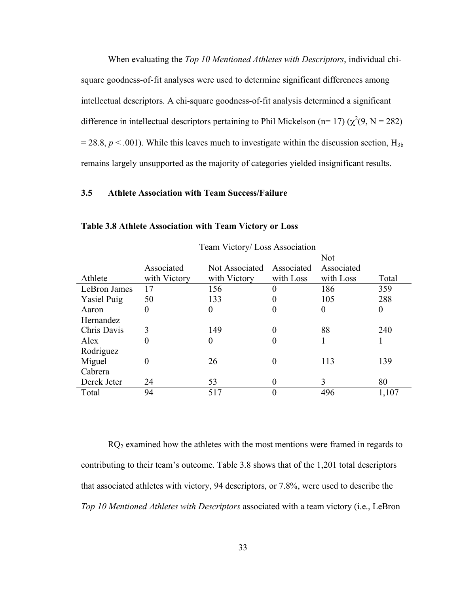When evaluating the *Top 10 Mentioned Athletes with Descriptors*, individual chisquare goodness-of-fit analyses were used to determine significant differences among intellectual descriptors. A chi-square goodness-of-fit analysis determined a significant difference in intellectual descriptors pertaining to Phil Mickelson (n= 17) ( $\chi^2(9, N = 282)$ )  $= 28.8, p \lt 0.001$ ). While this leaves much to investigate within the discussion section,  $H_{3b}$ remains largely unsupported as the majority of categories yielded insignificant results.

# **3.5 Athlete Association with Team Success/Failure**

|                    | Team Victory/Loss Association |                |            |            |                  |
|--------------------|-------------------------------|----------------|------------|------------|------------------|
|                    |                               | Not            |            |            |                  |
|                    | Associated                    | Not Associated | Associated | Associated |                  |
| Athlete            | with Victory                  | with Victory   | with Loss  | with Loss  | Total            |
| LeBron James       | 17                            | 156            | $\theta$   | 186        | 359              |
| <b>Yasiel Puig</b> | 50                            | 133            | 0          | 105        | 288              |
| Aaron              | 0                             | $\theta$       | 0          | 0          | $\boldsymbol{0}$ |
| Hernandez          |                               |                |            |            |                  |
| Chris Davis        | 3                             | 149            | 0          | 88         | 240              |
| Alex               | 0                             | $\theta$       | 0          |            |                  |
| Rodriguez          |                               |                |            |            |                  |
| Miguel             | 0                             | 26             | 0          | 113        | 139              |
| Cabrera            |                               |                |            |            |                  |
| Derek Jeter        | 24                            | 53             | 0          | 3          | 80               |
| Total              | 94                            | 517            | 0          | 496        | 1,107            |

**Table 3.8 Athlete Association with Team Victory or Loss**

RQ<sub>2</sub> examined how the athletes with the most mentions were framed in regards to contributing to their team's outcome. Table 3.8 shows that of the 1,201 total descriptors that associated athletes with victory, 94 descriptors, or 7.8%, were used to describe the *Top 10 Mentioned Athletes with Descriptors* associated with a team victory (i.e., LeBron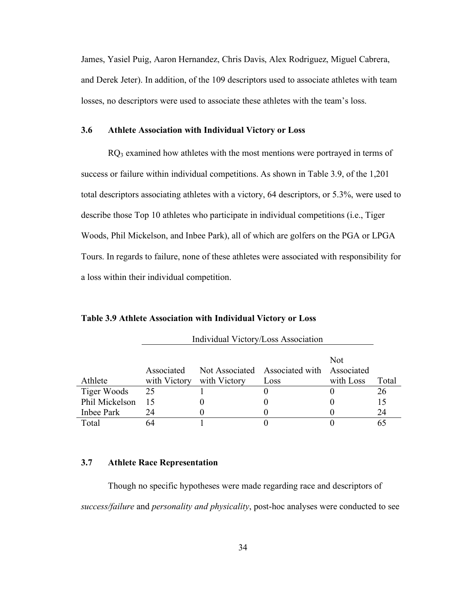James, Yasiel Puig, Aaron Hernandez, Chris Davis, Alex Rodriguez, Miguel Cabrera, and Derek Jeter). In addition, of the 109 descriptors used to associate athletes with team losses, no descriptors were used to associate these athletes with the team's loss.

# **3.6 Athlete Association with Individual Victory or Loss**

RQ<sub>3</sub> examined how athletes with the most mentions were portrayed in terms of success or failure within individual competitions. As shown in Table 3.9, of the 1,201 total descriptors associating athletes with a victory, 64 descriptors, or 5.3%, were used to describe those Top 10 athletes who participate in individual competitions (i.e., Tiger Woods, Phil Mickelson, and Inbee Park), all of which are golfers on the PGA or LPGA Tours. In regards to failure, none of these athletes were associated with responsibility for a loss within their individual competition.

|                    |              |              |                                | <b>Not</b> |       |
|--------------------|--------------|--------------|--------------------------------|------------|-------|
|                    | Associated   |              | Not Associated Associated with | Associated |       |
| Athlete            | with Victory | with Victory | Loss                           | with Loss  | Total |
| <b>Tiger Woods</b> | 25           |              |                                |            | 26    |
| Phil Mickelson     |              |              |                                |            |       |
| Inbee Park         | 24           |              |                                |            | 24    |
| Total              |              |              |                                |            |       |

Individual Victory/Loss Association

**Table 3.9 Athlete Association with Individual Victory or Loss**

# **3.7 Athlete Race Representation**

Though no specific hypotheses were made regarding race and descriptors of *success/failure* and *personality and physicality*, post-hoc analyses were conducted to see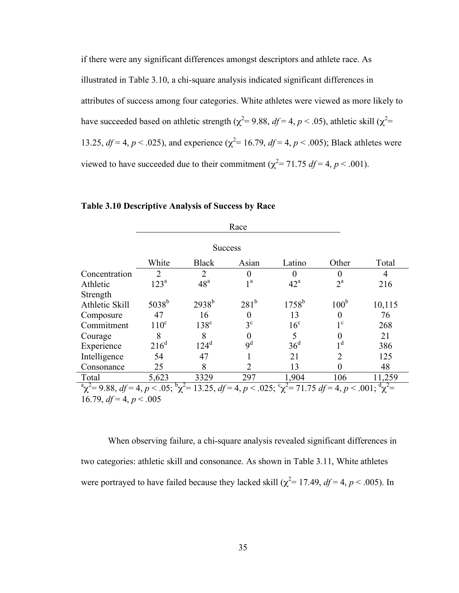if there were any significant differences amongst descriptors and athlete race. As illustrated in Table 3.10, a chi-square analysis indicated significant differences in attributes of success among four categories. White athletes were viewed as more likely to have succeeded based on athletic strength ( $\chi^2$  = 9.88, *df* = 4, *p* < .05), athletic skill ( $\chi^2$  = 13.25,  $df = 4$ ,  $p < .025$ ), and experience ( $\chi^2 = 16.79$ ,  $df = 4$ ,  $p < .005$ ); Black athletes were viewed to have succeeded due to their commitment ( $\chi^2$ = 71.75 *df* = 4, *p* < .001).

|                                                                                                                                        | Race                        |                 |                  |                   |                  |        |  |  |  |
|----------------------------------------------------------------------------------------------------------------------------------------|-----------------------------|-----------------|------------------|-------------------|------------------|--------|--|--|--|
|                                                                                                                                        |                             | <b>Success</b>  |                  |                   |                  |        |  |  |  |
|                                                                                                                                        | White                       | <b>Black</b>    | Asian            | Latino            | Other            | Total  |  |  |  |
| Concentration                                                                                                                          | $\mathcal{D}_{\mathcal{L}}$ | $\overline{2}$  | 0                |                   |                  | 4      |  |  |  |
| Athletic                                                                                                                               | 123 <sup>a</sup>            | 48 <sup>a</sup> | 1 <sup>a</sup>   | $42^{\mathrm{a}}$ | $2^{\mathrm{a}}$ | 216    |  |  |  |
| Strength                                                                                                                               |                             |                 |                  |                   |                  |        |  |  |  |
| Athletic Skill                                                                                                                         | $5038^{b}$                  | $2938^{b}$      | 281 <sup>b</sup> | $1758^{\rm b}$    | 100 <sup>b</sup> | 10,115 |  |  |  |
| Composure                                                                                                                              | 47                          | 16              | 0                | 13                |                  | 76     |  |  |  |
| Commitment                                                                                                                             | $110^{\circ}$               | $138^{\circ}$   | $3^{\circ}$      | 16 <sup>c</sup>   | $1^{\circ}$      | 268    |  |  |  |
| Courage                                                                                                                                | 8                           | 8               | 0                | 5                 |                  | 21     |  |  |  |
| Experience                                                                                                                             | $216^d$                     | $124^d$         | 9 <sup>d</sup>   | 36 <sup>d</sup>   | 1 <sup>d</sup>   | 386    |  |  |  |
| Intelligence                                                                                                                           | 54                          | 47              |                  | 21                | $\mathfrak{D}$   | 125    |  |  |  |
| Consonance                                                                                                                             | 25                          | 8               | $\overline{2}$   | 13                |                  | 48     |  |  |  |
| Total                                                                                                                                  | 5,623                       | 3329            | 297              | 1,904             | 106              | 11,259 |  |  |  |
| $\alpha^2$ $\gamma^2$ = 9.88, df = 4, p < .05; $\alpha^2$ = 13.25, df = 4, p < .025; $\alpha^2$ = 71.75 df = 4, p < .001; $\alpha^2$ = |                             |                 |                  |                   |                  |        |  |  |  |
|                                                                                                                                        | 16.79 $df = 4$ $n < 0.05$   |                 |                  |                   |                  |        |  |  |  |

# **Table 3.10 Descriptive Analysis of Success by Race**

16.79,  $df = 4, p < .005$ 

When observing failure, a chi-square analysis revealed significant differences in two categories: athletic skill and consonance. As shown in Table 3.11, White athletes were portrayed to have failed because they lacked skill ( $\chi^2$ = 17.49, *df* = 4, *p* < .005). In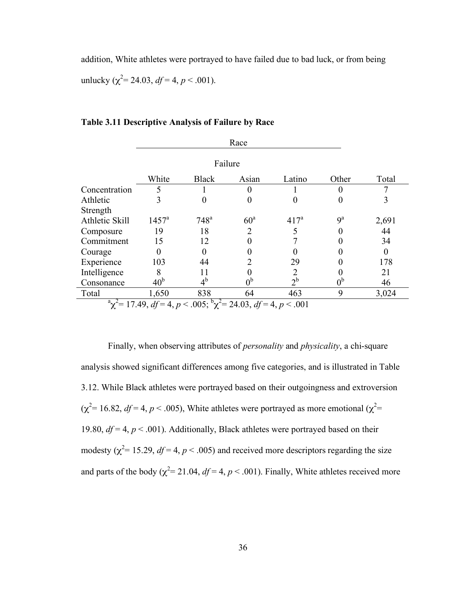addition, White athletes were portrayed to have failed due to bad luck, or from being unlucky ( $\chi^2$ = 24.03, *df* = 4, *p* < .001).

| Race           |                                                                                       |                    |                 |                  |                |       |  |  |  |
|----------------|---------------------------------------------------------------------------------------|--------------------|-----------------|------------------|----------------|-------|--|--|--|
|                | Failure                                                                               |                    |                 |                  |                |       |  |  |  |
|                | White<br>Total<br><b>Black</b><br>Other<br>Latino<br>Asian                            |                    |                 |                  |                |       |  |  |  |
| Concentration  | 5                                                                                     |                    | 0               |                  | 0              | 7     |  |  |  |
| Athletic       | 3                                                                                     | 0                  | 0               | $\theta$         |                | 3     |  |  |  |
| Strength       |                                                                                       |                    |                 |                  |                |       |  |  |  |
| Athletic Skill | $1457^{\rm a}$                                                                        | $748^{\mathrm{a}}$ | 60 <sup>a</sup> | 417 <sup>a</sup> | 9 <sup>a</sup> | 2,691 |  |  |  |
| Composure      | 19                                                                                    | 18                 | $\overline{2}$  | 5                |                | 44    |  |  |  |
| Commitment     | 15                                                                                    | 12                 | 0               |                  |                | 34    |  |  |  |
| Courage        | 0                                                                                     | $\theta$           |                 |                  |                |       |  |  |  |
| Experience     | 103                                                                                   | 44                 | 2               | 29               |                | 178   |  |  |  |
| Intelligence   | 8                                                                                     | 11                 |                 |                  |                | 21    |  |  |  |
| Consonance     | 40 <sup>b</sup>                                                                       | $4^{\rm b}$        | 0 <sup>b</sup>  | $2^{\rm b}$      | 0 <sup>b</sup> | 46    |  |  |  |
| Total          | 1,650                                                                                 | 838                | 64              | 463              | 9              | 3,024 |  |  |  |
|                | $\alpha^2$ a $\chi^2$ = 17.49, df = 4, p < .005; $\alpha^2$ = 24.03, df = 4, p < .001 |                    |                 |                  |                |       |  |  |  |

**Table 3.11 Descriptive Analysis of Failure by Race**

Finally, when observing attributes of *personality* and *physicality*, a chi-square analysis showed significant differences among five categories, and is illustrated in Table 3.12. While Black athletes were portrayed based on their outgoingness and extroversion  $(\chi^2 = 16.82, df = 4, p < .005)$ , White athletes were portrayed as more emotional  $(\chi^2 = 16.82, df = .005)$ 19.80,  $df = 4$ ,  $p < .001$ ). Additionally, Black athletes were portrayed based on their modesty ( $\chi^2$ = 15.29,  $df$ = 4,  $p$  < .005) and received more descriptors regarding the size and parts of the body ( $\chi^2$ = 21.04, *df* = 4, *p* < .001). Finally, White athletes received more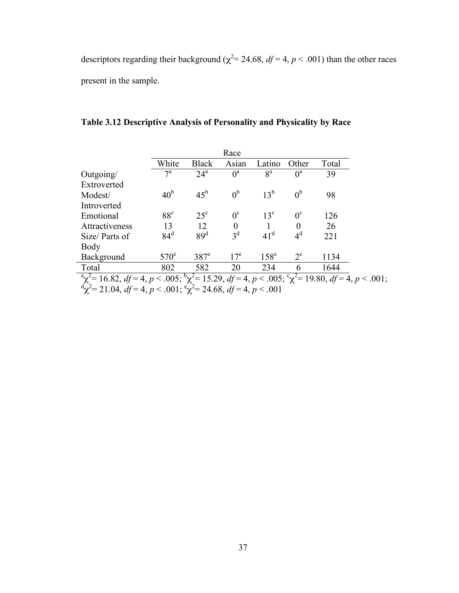descriptors regarding their background ( $\chi^2$  = 24.68,  $df$  = 4,  $p$  < .001) than the other races present in the sample.

|                                                                                                                              |                 |                   | Race            |                 |                |       |  |
|------------------------------------------------------------------------------------------------------------------------------|-----------------|-------------------|-----------------|-----------------|----------------|-------|--|
|                                                                                                                              | White           | <b>Black</b>      | Asian           | Latino          | Other          | Total |  |
| Outgoing/                                                                                                                    | $7^{\rm a}$     | $24^{\mathrm{a}}$ | $0^a$           | 8 <sup>a</sup>  | $0^a$          | 39    |  |
| Extroverted                                                                                                                  |                 |                   |                 |                 |                |       |  |
| Modest/                                                                                                                      | 40 <sup>b</sup> | $45^{\rm b}$      | 0 <sup>b</sup>  | $13^b$          | 0 <sup>b</sup> | 98    |  |
| Introverted                                                                                                                  |                 |                   |                 |                 |                |       |  |
| Emotional                                                                                                                    | $88^{\circ}$    | $25^{\circ}$      | $0^{\circ}$     | $13^{\circ}$    | $0^{\circ}$    | 126   |  |
| Attractiveness                                                                                                               | 13              | 12                | $\theta$        |                 | $\theta$       | 26    |  |
| Size/Parts of                                                                                                                | $84^d$          | 89 <sup>d</sup>   | $3^d$           | 41 <sup>d</sup> | $4^d$          | 221   |  |
| Body                                                                                                                         |                 |                   |                 |                 |                |       |  |
| Background                                                                                                                   | $570^{\circ}$   | $387^e$           | 17 <sup>e</sup> | $158^e$         | $2^e$          | 1134  |  |
| Total                                                                                                                        | 802             | 582               | 20              | 234             | 6              | 1644  |  |
| $\alpha^2$ a $\chi^2$ = 16.82, df = 4, p < .005; $\alpha^2$ = 15.29, df = 4, p < .005; $\alpha^2$ = 19.80, df = 4, p < .001; |                 |                   |                 |                 |                |       |  |
| $\alpha^d \chi^2$ = 21.04, df = 4, p < .001; $\alpha^2$ = 24.68, df = 4, p < .001                                            |                 |                   |                 |                 |                |       |  |

**Table 3.12 Descriptive Analysis of Personality and Physicality by Race**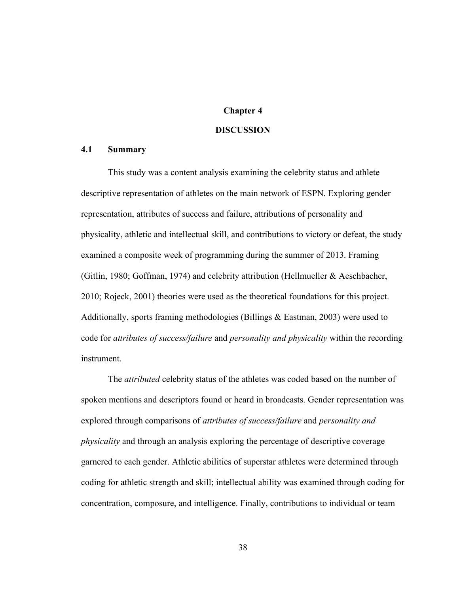# **Chapter 4**

# **DISCUSSION**

# **4.1 Summary**

This study was a content analysis examining the celebrity status and athlete descriptive representation of athletes on the main network of ESPN. Exploring gender representation, attributes of success and failure, attributions of personality and physicality, athletic and intellectual skill, and contributions to victory or defeat, the study examined a composite week of programming during the summer of 2013. Framing (Gitlin, 1980; Goffman, 1974) and celebrity attribution (Hellmueller & Aeschbacher, 2010; Rojeck, 2001) theories were used as the theoretical foundations for this project. Additionally, sports framing methodologies (Billings & Eastman, 2003) were used to code for *attributes of success/failure* and *personality and physicality* within the recording instrument.

The *attributed* celebrity status of the athletes was coded based on the number of spoken mentions and descriptors found or heard in broadcasts. Gender representation was explored through comparisons of *attributes of success/failure* and *personality and physicality* and through an analysis exploring the percentage of descriptive coverage garnered to each gender. Athletic abilities of superstar athletes were determined through coding for athletic strength and skill; intellectual ability was examined through coding for concentration, composure, and intelligence. Finally, contributions to individual or team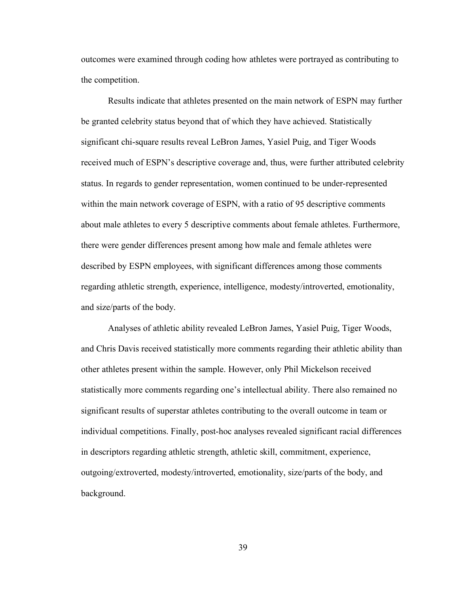outcomes were examined through coding how athletes were portrayed as contributing to the competition.

Results indicate that athletes presented on the main network of ESPN may further be granted celebrity status beyond that of which they have achieved. Statistically significant chi-square results reveal LeBron James, Yasiel Puig, and Tiger Woods received much of ESPN's descriptive coverage and, thus, were further attributed celebrity status. In regards to gender representation, women continued to be under-represented within the main network coverage of ESPN, with a ratio of 95 descriptive comments about male athletes to every 5 descriptive comments about female athletes. Furthermore, there were gender differences present among how male and female athletes were described by ESPN employees, with significant differences among those comments regarding athletic strength, experience, intelligence, modesty/introverted, emotionality, and size/parts of the body.

Analyses of athletic ability revealed LeBron James, Yasiel Puig, Tiger Woods, and Chris Davis received statistically more comments regarding their athletic ability than other athletes present within the sample. However, only Phil Mickelson received statistically more comments regarding one's intellectual ability. There also remained no significant results of superstar athletes contributing to the overall outcome in team or individual competitions. Finally, post-hoc analyses revealed significant racial differences in descriptors regarding athletic strength, athletic skill, commitment, experience, outgoing/extroverted, modesty/introverted, emotionality, size/parts of the body, and background.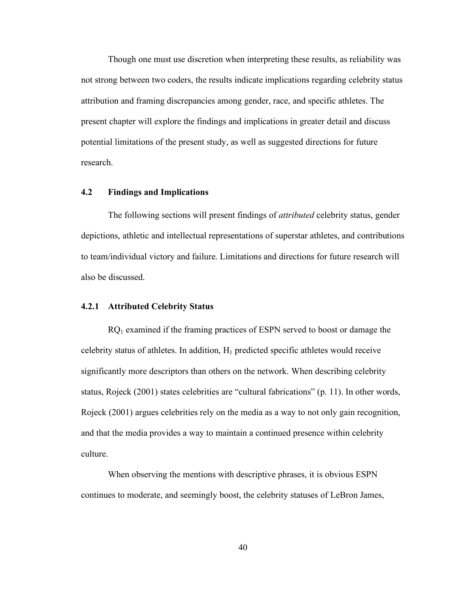Though one must use discretion when interpreting these results, as reliability was not strong between two coders, the results indicate implications regarding celebrity status attribution and framing discrepancies among gender, race, and specific athletes. The present chapter will explore the findings and implications in greater detail and discuss potential limitations of the present study, as well as suggested directions for future research.

## **4.2 Findings and Implications**

The following sections will present findings of *attributed* celebrity status, gender depictions, athletic and intellectual representations of superstar athletes, and contributions to team/individual victory and failure. Limitations and directions for future research will also be discussed.

#### **4.2.1 Attributed Celebrity Status**

 $RQ_1$  examined if the framing practices of ESPN served to boost or damage the celebrity status of athletes. In addition,  $H_1$  predicted specific athletes would receive significantly more descriptors than others on the network. When describing celebrity status, Rojeck (2001) states celebrities are "cultural fabrications" (p. 11). In other words, Rojeck (2001) argues celebrities rely on the media as a way to not only gain recognition, and that the media provides a way to maintain a continued presence within celebrity culture.

When observing the mentions with descriptive phrases, it is obvious ESPN continues to moderate, and seemingly boost, the celebrity statuses of LeBron James,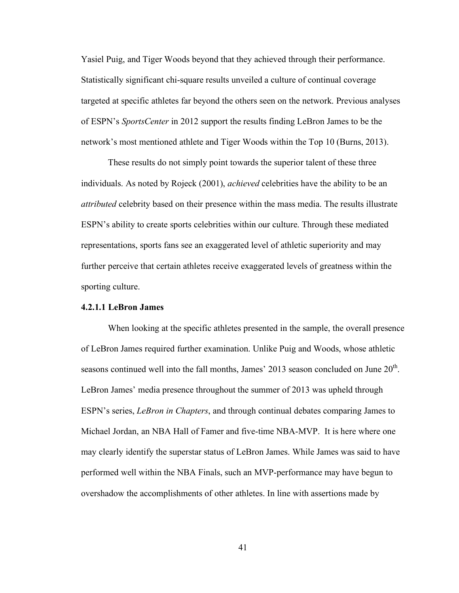Yasiel Puig, and Tiger Woods beyond that they achieved through their performance. Statistically significant chi-square results unveiled a culture of continual coverage targeted at specific athletes far beyond the others seen on the network. Previous analyses of ESPN's *SportsCenter* in 2012 support the results finding LeBron James to be the network's most mentioned athlete and Tiger Woods within the Top 10 (Burns, 2013).

These results do not simply point towards the superior talent of these three individuals. As noted by Rojeck (2001), *achieved* celebrities have the ability to be an *attributed* celebrity based on their presence within the mass media. The results illustrate ESPN's ability to create sports celebrities within our culture. Through these mediated representations, sports fans see an exaggerated level of athletic superiority and may further perceive that certain athletes receive exaggerated levels of greatness within the sporting culture.

# **4.2.1.1 LeBron James**

When looking at the specific athletes presented in the sample, the overall presence of LeBron James required further examination. Unlike Puig and Woods, whose athletic seasons continued well into the fall months, James' 2013 season concluded on June  $20<sup>th</sup>$ . LeBron James' media presence throughout the summer of 2013 was upheld through ESPN's series, *LeBron in Chapters*, and through continual debates comparing James to Michael Jordan, an NBA Hall of Famer and five-time NBA-MVP. It is here where one may clearly identify the superstar status of LeBron James. While James was said to have performed well within the NBA Finals, such an MVP-performance may have begun to overshadow the accomplishments of other athletes. In line with assertions made by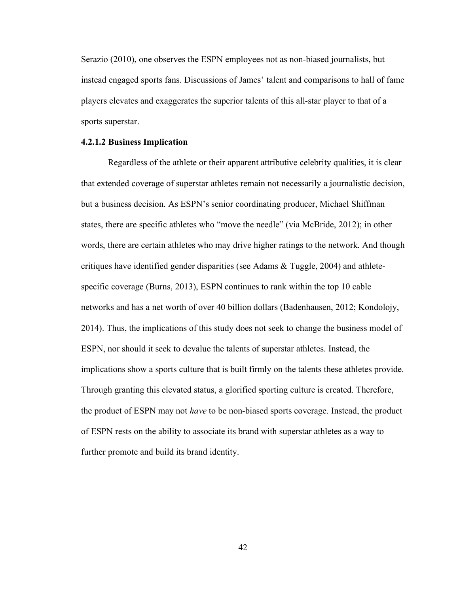Serazio (2010), one observes the ESPN employees not as non-biased journalists, but instead engaged sports fans. Discussions of James' talent and comparisons to hall of fame players elevates and exaggerates the superior talents of this all-star player to that of a sports superstar.

### **4.2.1.2 Business Implication**

Regardless of the athlete or their apparent attributive celebrity qualities, it is clear that extended coverage of superstar athletes remain not necessarily a journalistic decision, but a business decision. As ESPN's senior coordinating producer, Michael Shiffman states, there are specific athletes who "move the needle" (via McBride, 2012); in other words, there are certain athletes who may drive higher ratings to the network. And though critiques have identified gender disparities (see Adams & Tuggle, 2004) and athletespecific coverage (Burns, 2013), ESPN continues to rank within the top 10 cable networks and has a net worth of over 40 billion dollars (Badenhausen, 2012; Kondolojy, 2014). Thus, the implications of this study does not seek to change the business model of ESPN, nor should it seek to devalue the talents of superstar athletes. Instead, the implications show a sports culture that is built firmly on the talents these athletes provide. Through granting this elevated status, a glorified sporting culture is created. Therefore, the product of ESPN may not *have* to be non-biased sports coverage. Instead, the product of ESPN rests on the ability to associate its brand with superstar athletes as a way to further promote and build its brand identity.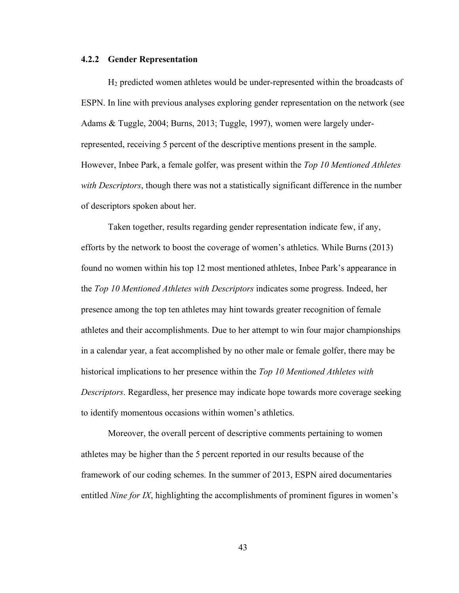#### **4.2.2 Gender Representation**

H2 predicted women athletes would be under-represented within the broadcasts of ESPN. In line with previous analyses exploring gender representation on the network (see Adams & Tuggle, 2004; Burns, 2013; Tuggle, 1997), women were largely underrepresented, receiving 5 percent of the descriptive mentions present in the sample. However, Inbee Park, a female golfer, was present within the *Top 10 Mentioned Athletes with Descriptors*, though there was not a statistically significant difference in the number of descriptors spoken about her.

Taken together, results regarding gender representation indicate few, if any, efforts by the network to boost the coverage of women's athletics. While Burns (2013) found no women within his top 12 most mentioned athletes, Inbee Park's appearance in the *Top 10 Mentioned Athletes with Descriptors* indicates some progress. Indeed, her presence among the top ten athletes may hint towards greater recognition of female athletes and their accomplishments. Due to her attempt to win four major championships in a calendar year, a feat accomplished by no other male or female golfer, there may be historical implications to her presence within the *Top 10 Mentioned Athletes with Descriptors*. Regardless, her presence may indicate hope towards more coverage seeking to identify momentous occasions within women's athletics.

Moreover, the overall percent of descriptive comments pertaining to women athletes may be higher than the 5 percent reported in our results because of the framework of our coding schemes. In the summer of 2013, ESPN aired documentaries entitled *Nine for IX*, highlighting the accomplishments of prominent figures in women's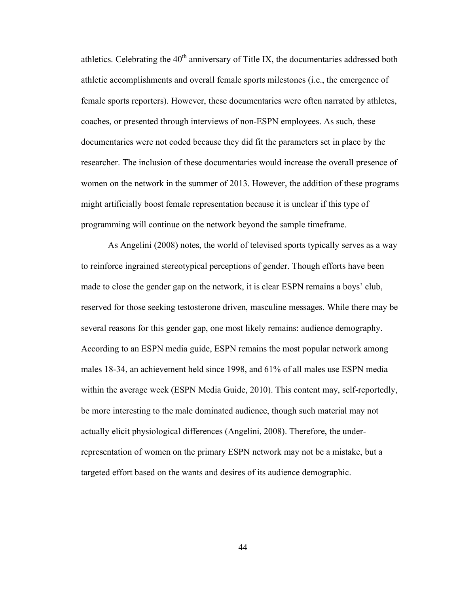athletics. Celebrating the  $40<sup>th</sup>$  anniversary of Title IX, the documentaries addressed both athletic accomplishments and overall female sports milestones (i.e., the emergence of female sports reporters). However, these documentaries were often narrated by athletes, coaches, or presented through interviews of non-ESPN employees. As such, these documentaries were not coded because they did fit the parameters set in place by the researcher. The inclusion of these documentaries would increase the overall presence of women on the network in the summer of 2013. However, the addition of these programs might artificially boost female representation because it is unclear if this type of programming will continue on the network beyond the sample timeframe.

As Angelini (2008) notes, the world of televised sports typically serves as a way to reinforce ingrained stereotypical perceptions of gender. Though efforts have been made to close the gender gap on the network, it is clear ESPN remains a boys' club, reserved for those seeking testosterone driven, masculine messages. While there may be several reasons for this gender gap, one most likely remains: audience demography. According to an ESPN media guide, ESPN remains the most popular network among males 18-34, an achievement held since 1998, and 61% of all males use ESPN media within the average week (ESPN Media Guide, 2010). This content may, self-reportedly, be more interesting to the male dominated audience, though such material may not actually elicit physiological differences (Angelini, 2008). Therefore, the underrepresentation of women on the primary ESPN network may not be a mistake, but a targeted effort based on the wants and desires of its audience demographic.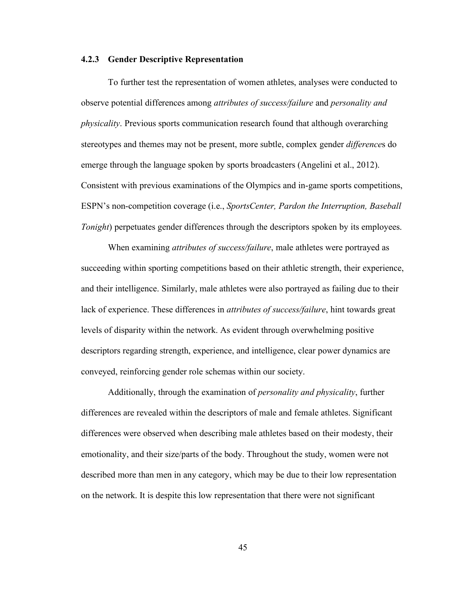#### **4.2.3 Gender Descriptive Representation**

To further test the representation of women athletes, analyses were conducted to observe potential differences among *attributes of success/failure* and *personality and physicality*. Previous sports communication research found that although overarching stereotypes and themes may not be present, more subtle, complex gender *difference*s do emerge through the language spoken by sports broadcasters (Angelini et al., 2012). Consistent with previous examinations of the Olympics and in-game sports competitions, ESPN's non-competition coverage (i.e., *SportsCenter, Pardon the Interruption, Baseball Tonight*) perpetuates gender differences through the descriptors spoken by its employees.

When examining *attributes of success/failure*, male athletes were portrayed as succeeding within sporting competitions based on their athletic strength, their experience, and their intelligence. Similarly, male athletes were also portrayed as failing due to their lack of experience. These differences in *attributes of success/failure*, hint towards great levels of disparity within the network. As evident through overwhelming positive descriptors regarding strength, experience, and intelligence, clear power dynamics are conveyed, reinforcing gender role schemas within our society.

Additionally, through the examination of *personality and physicality*, further differences are revealed within the descriptors of male and female athletes. Significant differences were observed when describing male athletes based on their modesty, their emotionality, and their size/parts of the body. Throughout the study, women were not described more than men in any category, which may be due to their low representation on the network. It is despite this low representation that there were not significant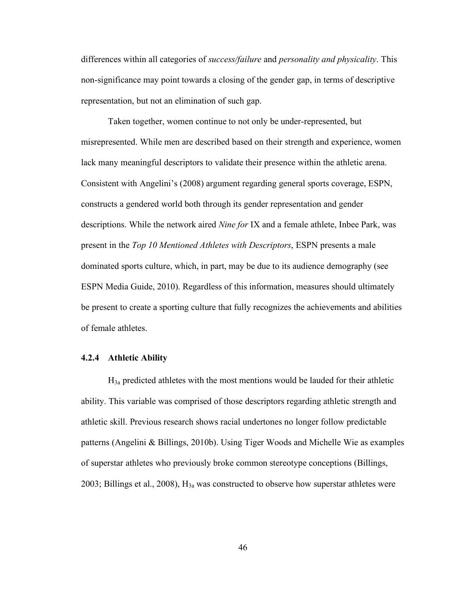differences within all categories of *success/failure* and *personality and physicality*. This non-significance may point towards a closing of the gender gap, in terms of descriptive representation, but not an elimination of such gap.

Taken together, women continue to not only be under-represented, but misrepresented. While men are described based on their strength and experience, women lack many meaningful descriptors to validate their presence within the athletic arena. Consistent with Angelini's (2008) argument regarding general sports coverage, ESPN, constructs a gendered world both through its gender representation and gender descriptions. While the network aired *Nine for* IX and a female athlete, Inbee Park, was present in the *Top 10 Mentioned Athletes with Descriptors*, ESPN presents a male dominated sports culture, which, in part, may be due to its audience demography (see ESPN Media Guide, 2010). Regardless of this information, measures should ultimately be present to create a sporting culture that fully recognizes the achievements and abilities of female athletes.

# **4.2.4 Athletic Ability**

H3a predicted athletes with the most mentions would be lauded for their athletic ability. This variable was comprised of those descriptors regarding athletic strength and athletic skill. Previous research shows racial undertones no longer follow predictable patterns (Angelini & Billings, 2010b). Using Tiger Woods and Michelle Wie as examples of superstar athletes who previously broke common stereotype conceptions (Billings, 2003; Billings et al., 2008),  $H_{3a}$  was constructed to observe how superstar athletes were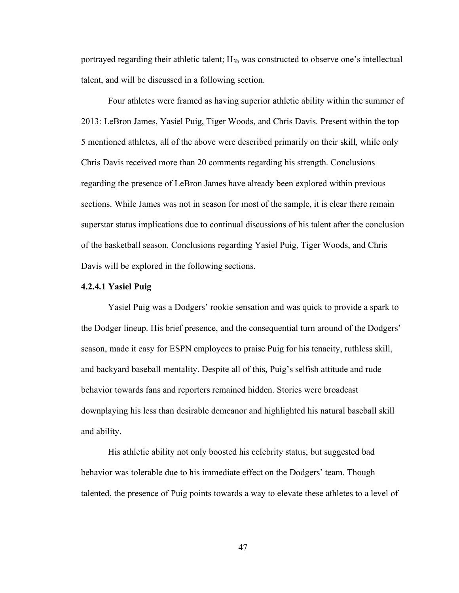portrayed regarding their athletic talent;  $H_{3b}$  was constructed to observe one's intellectual talent, and will be discussed in a following section.

Four athletes were framed as having superior athletic ability within the summer of 2013: LeBron James, Yasiel Puig, Tiger Woods, and Chris Davis. Present within the top 5 mentioned athletes, all of the above were described primarily on their skill, while only Chris Davis received more than 20 comments regarding his strength. Conclusions regarding the presence of LeBron James have already been explored within previous sections. While James was not in season for most of the sample, it is clear there remain superstar status implications due to continual discussions of his talent after the conclusion of the basketball season. Conclusions regarding Yasiel Puig, Tiger Woods, and Chris Davis will be explored in the following sections.

#### **4.2.4.1 Yasiel Puig**

Yasiel Puig was a Dodgers' rookie sensation and was quick to provide a spark to the Dodger lineup. His brief presence, and the consequential turn around of the Dodgers' season, made it easy for ESPN employees to praise Puig for his tenacity, ruthless skill, and backyard baseball mentality. Despite all of this, Puig's selfish attitude and rude behavior towards fans and reporters remained hidden. Stories were broadcast downplaying his less than desirable demeanor and highlighted his natural baseball skill and ability.

His athletic ability not only boosted his celebrity status, but suggested bad behavior was tolerable due to his immediate effect on the Dodgers' team. Though talented, the presence of Puig points towards a way to elevate these athletes to a level of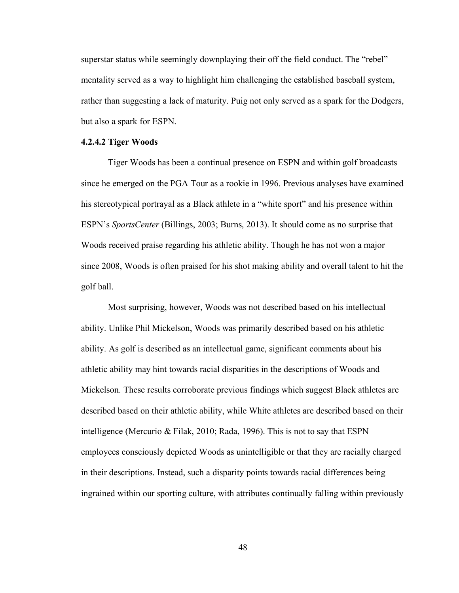superstar status while seemingly downplaying their off the field conduct. The "rebel" mentality served as a way to highlight him challenging the established baseball system, rather than suggesting a lack of maturity. Puig not only served as a spark for the Dodgers, but also a spark for ESPN.

# **4.2.4.2 Tiger Woods**

Tiger Woods has been a continual presence on ESPN and within golf broadcasts since he emerged on the PGA Tour as a rookie in 1996. Previous analyses have examined his stereotypical portrayal as a Black athlete in a "white sport" and his presence within ESPN's *SportsCenter* (Billings, 2003; Burns, 2013). It should come as no surprise that Woods received praise regarding his athletic ability. Though he has not won a major since 2008, Woods is often praised for his shot making ability and overall talent to hit the golf ball.

Most surprising, however, Woods was not described based on his intellectual ability. Unlike Phil Mickelson, Woods was primarily described based on his athletic ability. As golf is described as an intellectual game, significant comments about his athletic ability may hint towards racial disparities in the descriptions of Woods and Mickelson. These results corroborate previous findings which suggest Black athletes are described based on their athletic ability, while White athletes are described based on their intelligence (Mercurio & Filak, 2010; Rada, 1996). This is not to say that ESPN employees consciously depicted Woods as unintelligible or that they are racially charged in their descriptions. Instead, such a disparity points towards racial differences being ingrained within our sporting culture, with attributes continually falling within previously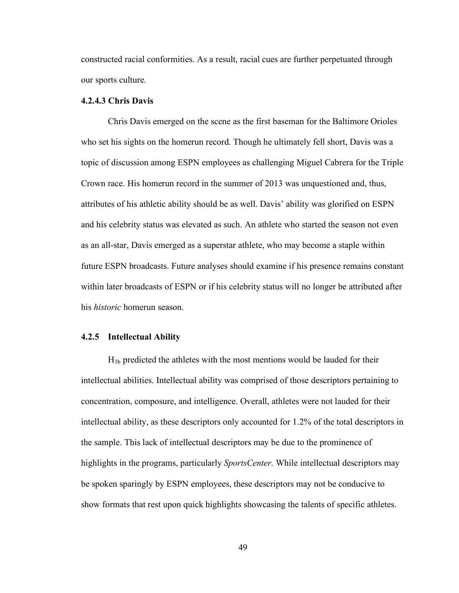constructed racial conformities. As a result, racial cues are further perpetuated through our sports culture.

# **4.2.4.3 Chris Davis**

Chris Davis emerged on the scene as the first baseman for the Baltimore Orioles who set his sights on the homerun record. Though he ultimately fell short, Davis was a topic of discussion among ESPN employees as challenging Miguel Cabrera for the Triple Crown race. His homerun record in the summer of 2013 was unquestioned and, thus, attributes of his athletic ability should be as well. Davis' ability was glorified on ESPN and his celebrity status was elevated as such. An athlete who started the season not even as an all-star, Davis emerged as a superstar athlete, who may become a staple within future ESPN broadcasts. Future analyses should examine if his presence remains constant within later broadcasts of ESPN or if his celebrity status will no longer be attributed after his *historic* homerun season.

# **4.2.5 Intellectual Ability**

 $H_{3b}$  predicted the athletes with the most mentions would be lauded for their intellectual abilities. Intellectual ability was comprised of those descriptors pertaining to concentration, composure, and intelligence. Overall, athletes were not lauded for their intellectual ability, as these descriptors only accounted for 1.2% of the total descriptors in the sample. This lack of intellectual descriptors may be due to the prominence of highlights in the programs, particularly *SportsCenter*. While intellectual descriptors may be spoken sparingly by ESPN employees, these descriptors may not be conducive to show formats that rest upon quick highlights showcasing the talents of specific athletes.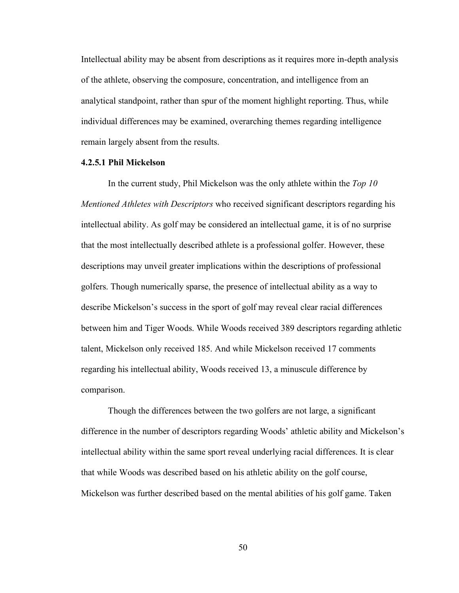Intellectual ability may be absent from descriptions as it requires more in-depth analysis of the athlete, observing the composure, concentration, and intelligence from an analytical standpoint, rather than spur of the moment highlight reporting. Thus, while individual differences may be examined, overarching themes regarding intelligence remain largely absent from the results.

# **4.2.5.1 Phil Mickelson**

In the current study, Phil Mickelson was the only athlete within the *Top 10 Mentioned Athletes with Descriptors* who received significant descriptors regarding his intellectual ability. As golf may be considered an intellectual game, it is of no surprise that the most intellectually described athlete is a professional golfer. However, these descriptions may unveil greater implications within the descriptions of professional golfers. Though numerically sparse, the presence of intellectual ability as a way to describe Mickelson's success in the sport of golf may reveal clear racial differences between him and Tiger Woods. While Woods received 389 descriptors regarding athletic talent, Mickelson only received 185. And while Mickelson received 17 comments regarding his intellectual ability, Woods received 13, a minuscule difference by comparison.

Though the differences between the two golfers are not large, a significant difference in the number of descriptors regarding Woods' athletic ability and Mickelson's intellectual ability within the same sport reveal underlying racial differences. It is clear that while Woods was described based on his athletic ability on the golf course, Mickelson was further described based on the mental abilities of his golf game. Taken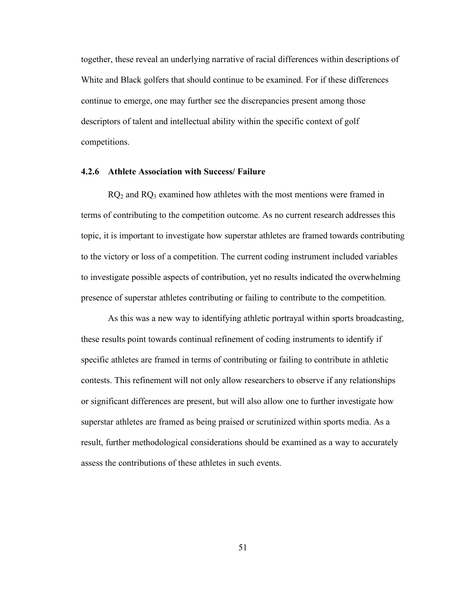together, these reveal an underlying narrative of racial differences within descriptions of White and Black golfers that should continue to be examined. For if these differences continue to emerge, one may further see the discrepancies present among those descriptors of talent and intellectual ability within the specific context of golf competitions.

#### **4.2.6 Athlete Association with Success/ Failure**

 $RQ<sub>2</sub>$  and  $RQ<sub>3</sub>$  examined how athletes with the most mentions were framed in terms of contributing to the competition outcome. As no current research addresses this topic, it is important to investigate how superstar athletes are framed towards contributing to the victory or loss of a competition. The current coding instrument included variables to investigate possible aspects of contribution, yet no results indicated the overwhelming presence of superstar athletes contributing or failing to contribute to the competition.

As this was a new way to identifying athletic portrayal within sports broadcasting, these results point towards continual refinement of coding instruments to identify if specific athletes are framed in terms of contributing or failing to contribute in athletic contests. This refinement will not only allow researchers to observe if any relationships or significant differences are present, but will also allow one to further investigate how superstar athletes are framed as being praised or scrutinized within sports media. As a result, further methodological considerations should be examined as a way to accurately assess the contributions of these athletes in such events.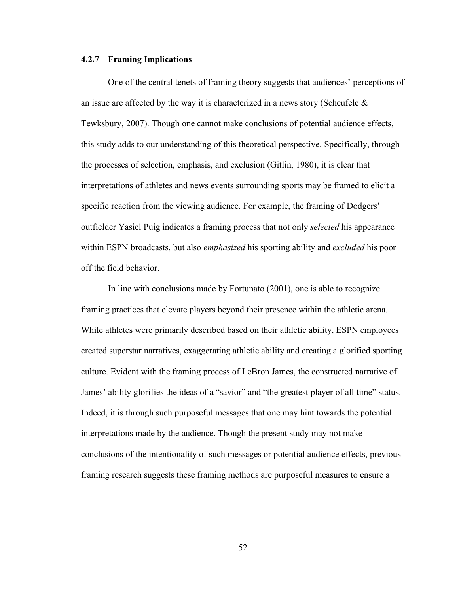### **4.2.7 Framing Implications**

One of the central tenets of framing theory suggests that audiences' perceptions of an issue are affected by the way it is characterized in a news story (Scheufele  $\&$ Tewksbury, 2007). Though one cannot make conclusions of potential audience effects, this study adds to our understanding of this theoretical perspective. Specifically, through the processes of selection, emphasis, and exclusion (Gitlin, 1980), it is clear that interpretations of athletes and news events surrounding sports may be framed to elicit a specific reaction from the viewing audience. For example, the framing of Dodgers' outfielder Yasiel Puig indicates a framing process that not only *selected* his appearance within ESPN broadcasts, but also *emphasized* his sporting ability and *excluded* his poor off the field behavior.

In line with conclusions made by Fortunato (2001), one is able to recognize framing practices that elevate players beyond their presence within the athletic arena. While athletes were primarily described based on their athletic ability, ESPN employees created superstar narratives, exaggerating athletic ability and creating a glorified sporting culture. Evident with the framing process of LeBron James, the constructed narrative of James' ability glorifies the ideas of a "savior" and "the greatest player of all time" status. Indeed, it is through such purposeful messages that one may hint towards the potential interpretations made by the audience. Though the present study may not make conclusions of the intentionality of such messages or potential audience effects, previous framing research suggests these framing methods are purposeful measures to ensure a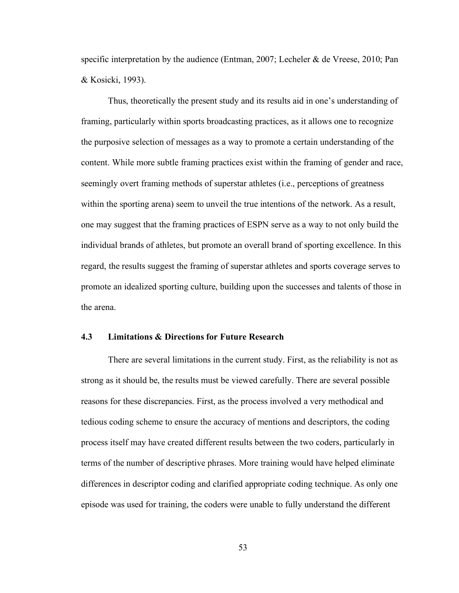specific interpretation by the audience (Entman, 2007; Lecheler & de Vreese, 2010; Pan & Kosicki, 1993).

Thus, theoretically the present study and its results aid in one's understanding of framing, particularly within sports broadcasting practices, as it allows one to recognize the purposive selection of messages as a way to promote a certain understanding of the content. While more subtle framing practices exist within the framing of gender and race, seemingly overt framing methods of superstar athletes (i.e., perceptions of greatness within the sporting arena) seem to unveil the true intentions of the network. As a result, one may suggest that the framing practices of ESPN serve as a way to not only build the individual brands of athletes, but promote an overall brand of sporting excellence. In this regard, the results suggest the framing of superstar athletes and sports coverage serves to promote an idealized sporting culture, building upon the successes and talents of those in the arena.

# **4.3 Limitations & Directions for Future Research**

There are several limitations in the current study. First, as the reliability is not as strong as it should be, the results must be viewed carefully. There are several possible reasons for these discrepancies. First, as the process involved a very methodical and tedious coding scheme to ensure the accuracy of mentions and descriptors, the coding process itself may have created different results between the two coders, particularly in terms of the number of descriptive phrases. More training would have helped eliminate differences in descriptor coding and clarified appropriate coding technique. As only one episode was used for training, the coders were unable to fully understand the different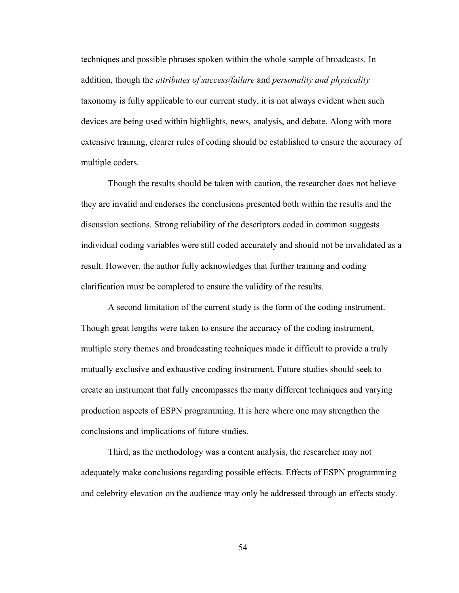techniques and possible phrases spoken within the whole sample of broadcasts. In addition, though the *attributes of success/failure* and *personality and physicality* taxonomy is fully applicable to our current study, it is not always evident when such devices are being used within highlights, news, analysis, and debate. Along with more extensive training, clearer rules of coding should be established to ensure the accuracy of multiple coders.

Though the results should be taken with caution, the researcher does not believe they are invalid and endorses the conclusions presented both within the results and the discussion sections. Strong reliability of the descriptors coded in common suggests individual coding variables were still coded accurately and should not be invalidated as a result. However, the author fully acknowledges that further training and coding clarification must be completed to ensure the validity of the results.

A second limitation of the current study is the form of the coding instrument. Though great lengths were taken to ensure the accuracy of the coding instrument, multiple story themes and broadcasting techniques made it difficult to provide a truly mutually exclusive and exhaustive coding instrument. Future studies should seek to create an instrument that fully encompasses the many different techniques and varying production aspects of ESPN programming. It is here where one may strengthen the conclusions and implications of future studies.

Third, as the methodology was a content analysis, the researcher may not adequately make conclusions regarding possible effects. Effects of ESPN programming and celebrity elevation on the audience may only be addressed through an effects study.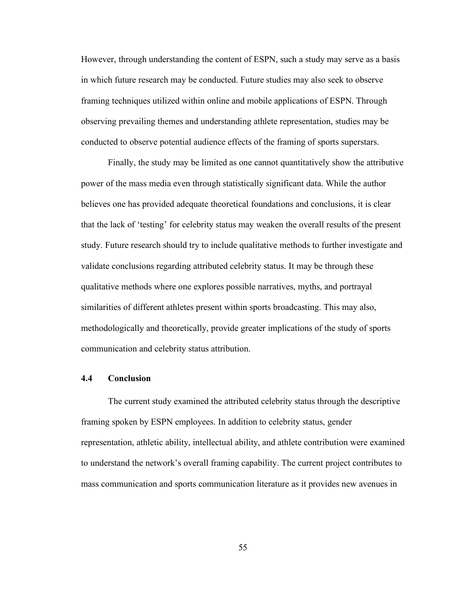However, through understanding the content of ESPN, such a study may serve as a basis in which future research may be conducted. Future studies may also seek to observe framing techniques utilized within online and mobile applications of ESPN. Through observing prevailing themes and understanding athlete representation, studies may be conducted to observe potential audience effects of the framing of sports superstars.

Finally, the study may be limited as one cannot quantitatively show the attributive power of the mass media even through statistically significant data. While the author believes one has provided adequate theoretical foundations and conclusions, it is clear that the lack of 'testing' for celebrity status may weaken the overall results of the present study. Future research should try to include qualitative methods to further investigate and validate conclusions regarding attributed celebrity status. It may be through these qualitative methods where one explores possible narratives, myths, and portrayal similarities of different athletes present within sports broadcasting. This may also, methodologically and theoretically, provide greater implications of the study of sports communication and celebrity status attribution.

# **4.4 Conclusion**

The current study examined the attributed celebrity status through the descriptive framing spoken by ESPN employees. In addition to celebrity status, gender representation, athletic ability, intellectual ability, and athlete contribution were examined to understand the network's overall framing capability. The current project contributes to mass communication and sports communication literature as it provides new avenues in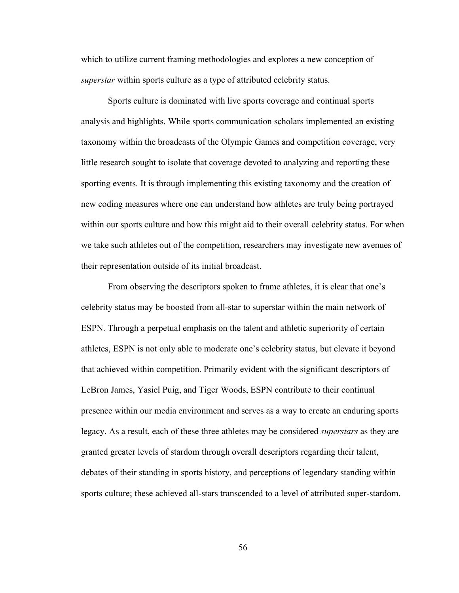which to utilize current framing methodologies and explores a new conception of *superstar* within sports culture as a type of attributed celebrity status.

Sports culture is dominated with live sports coverage and continual sports analysis and highlights. While sports communication scholars implemented an existing taxonomy within the broadcasts of the Olympic Games and competition coverage, very little research sought to isolate that coverage devoted to analyzing and reporting these sporting events. It is through implementing this existing taxonomy and the creation of new coding measures where one can understand how athletes are truly being portrayed within our sports culture and how this might aid to their overall celebrity status. For when we take such athletes out of the competition, researchers may investigate new avenues of their representation outside of its initial broadcast.

From observing the descriptors spoken to frame athletes, it is clear that one's celebrity status may be boosted from all-star to superstar within the main network of ESPN. Through a perpetual emphasis on the talent and athletic superiority of certain athletes, ESPN is not only able to moderate one's celebrity status, but elevate it beyond that achieved within competition. Primarily evident with the significant descriptors of LeBron James, Yasiel Puig, and Tiger Woods, ESPN contribute to their continual presence within our media environment and serves as a way to create an enduring sports legacy. As a result, each of these three athletes may be considered *superstars* as they are granted greater levels of stardom through overall descriptors regarding their talent, debates of their standing in sports history, and perceptions of legendary standing within sports culture; these achieved all-stars transcended to a level of attributed super-stardom.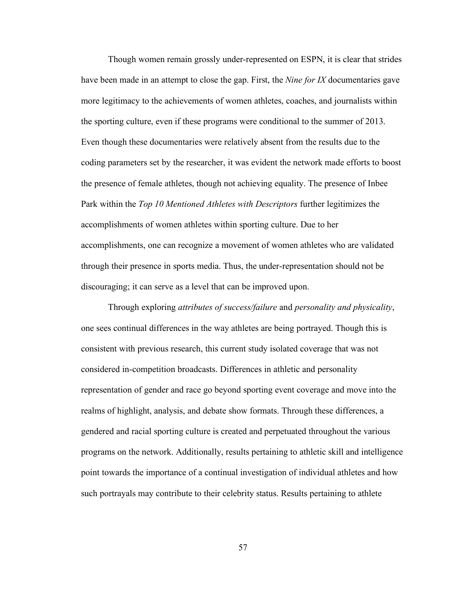Though women remain grossly under-represented on ESPN, it is clear that strides have been made in an attempt to close the gap. First, the *Nine for IX* documentaries gave more legitimacy to the achievements of women athletes, coaches, and journalists within the sporting culture, even if these programs were conditional to the summer of 2013. Even though these documentaries were relatively absent from the results due to the coding parameters set by the researcher, it was evident the network made efforts to boost the presence of female athletes, though not achieving equality. The presence of Inbee Park within the *Top 10 Mentioned Athletes with Descriptors* further legitimizes the accomplishments of women athletes within sporting culture. Due to her accomplishments, one can recognize a movement of women athletes who are validated through their presence in sports media. Thus, the under-representation should not be discouraging; it can serve as a level that can be improved upon.

Through exploring *attributes of success/failure* and *personality and physicality*, one sees continual differences in the way athletes are being portrayed. Though this is consistent with previous research, this current study isolated coverage that was not considered in-competition broadcasts. Differences in athletic and personality representation of gender and race go beyond sporting event coverage and move into the realms of highlight, analysis, and debate show formats. Through these differences, a gendered and racial sporting culture is created and perpetuated throughout the various programs on the network. Additionally, results pertaining to athletic skill and intelligence point towards the importance of a continual investigation of individual athletes and how such portrayals may contribute to their celebrity status. Results pertaining to athlete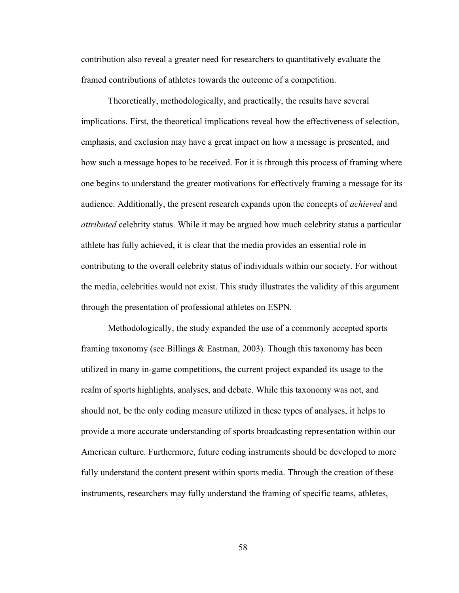contribution also reveal a greater need for researchers to quantitatively evaluate the framed contributions of athletes towards the outcome of a competition.

Theoretically, methodologically, and practically, the results have several implications. First, the theoretical implications reveal how the effectiveness of selection, emphasis, and exclusion may have a great impact on how a message is presented, and how such a message hopes to be received. For it is through this process of framing where one begins to understand the greater motivations for effectively framing a message for its audience. Additionally, the present research expands upon the concepts of *achieved* and *attributed* celebrity status. While it may be argued how much celebrity status a particular athlete has fully achieved, it is clear that the media provides an essential role in contributing to the overall celebrity status of individuals within our society. For without the media, celebrities would not exist. This study illustrates the validity of this argument through the presentation of professional athletes on ESPN.

Methodologically, the study expanded the use of a commonly accepted sports framing taxonomy (see Billings & Eastman, 2003). Though this taxonomy has been utilized in many in-game competitions, the current project expanded its usage to the realm of sports highlights, analyses, and debate. While this taxonomy was not, and should not, be the only coding measure utilized in these types of analyses, it helps to provide a more accurate understanding of sports broadcasting representation within our American culture. Furthermore, future coding instruments should be developed to more fully understand the content present within sports media. Through the creation of these instruments, researchers may fully understand the framing of specific teams, athletes,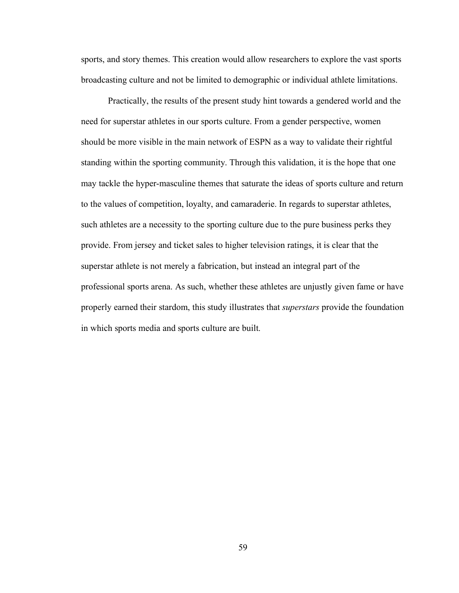sports, and story themes. This creation would allow researchers to explore the vast sports broadcasting culture and not be limited to demographic or individual athlete limitations.

Practically, the results of the present study hint towards a gendered world and the need for superstar athletes in our sports culture. From a gender perspective, women should be more visible in the main network of ESPN as a way to validate their rightful standing within the sporting community. Through this validation, it is the hope that one may tackle the hyper-masculine themes that saturate the ideas of sports culture and return to the values of competition, loyalty, and camaraderie. In regards to superstar athletes, such athletes are a necessity to the sporting culture due to the pure business perks they provide. From jersey and ticket sales to higher television ratings, it is clear that the superstar athlete is not merely a fabrication, but instead an integral part of the professional sports arena. As such, whether these athletes are unjustly given fame or have properly earned their stardom, this study illustrates that *superstars* provide the foundation in which sports media and sports culture are built.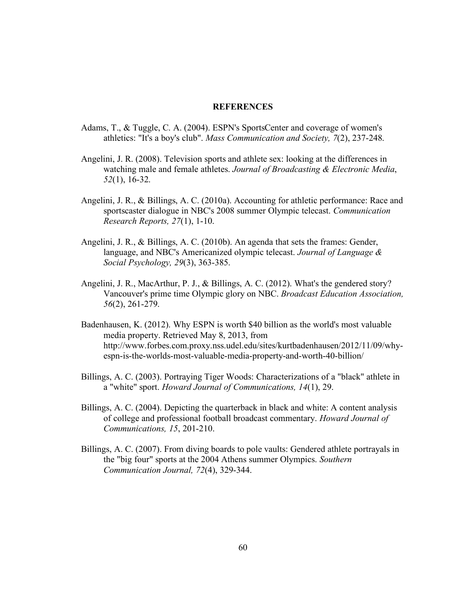# **REFERENCES**

- Adams, T., & Tuggle, C. A. (2004). ESPN's SportsCenter and coverage of women's athletics: "It's a boy's club". *Mass Communication and Society, 7*(2), 237-248.
- Angelini, J. R. (2008). Television sports and athlete sex: looking at the differences in watching male and female athletes. *Journal of Broadcasting & Electronic Media*, *52*(1), 16-32.
- Angelini, J. R., & Billings, A. C. (2010a). Accounting for athletic performance: Race and sportscaster dialogue in NBC's 2008 summer Olympic telecast. *Communication Research Reports, 27*(1), 1-10.
- Angelini, J. R., & Billings, A. C. (2010b). An agenda that sets the frames: Gender, language, and NBC's Americanized olympic telecast. *Journal of Language & Social Psychology, 29*(3), 363-385.
- Angelini, J. R., MacArthur, P. J., & Billings, A. C. (2012). What's the gendered story? Vancouver's prime time Olympic glory on NBC. *Broadcast Education Association, 56*(2), 261-279.
- Badenhausen, K. (2012). Why ESPN is worth \$40 billion as the world's most valuable media property. Retrieved May 8, 2013, from http://www.forbes.com.proxy.nss.udel.edu/sites/kurtbadenhausen/2012/11/09/whyespn-is-the-worlds-most-valuable-media-property-and-worth-40-billion/
- Billings, A. C. (2003). Portraying Tiger Woods: Characterizations of a "black" athlete in a "white" sport. *Howard Journal of Communications, 14*(1), 29.
- Billings, A. C. (2004). Depicting the quarterback in black and white: A content analysis of college and professional football broadcast commentary. *Howard Journal of Communications, 15*, 201-210.
- Billings, A. C. (2007). From diving boards to pole vaults: Gendered athlete portrayals in the "big four" sports at the 2004 Athens summer Olympics. *Southern Communication Journal, 72*(4), 329-344.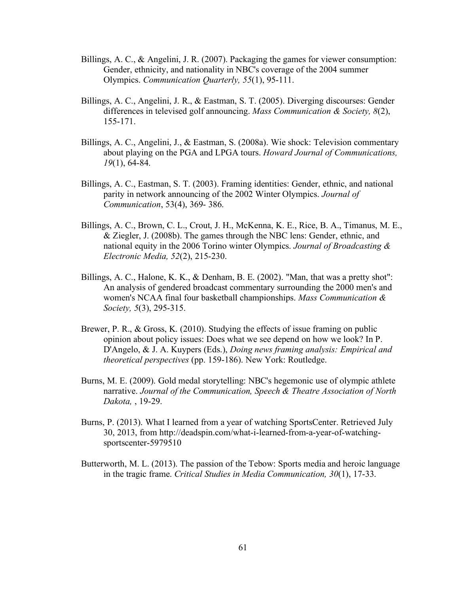- Billings, A. C., & Angelini, J. R. (2007). Packaging the games for viewer consumption: Gender, ethnicity, and nationality in NBC's coverage of the 2004 summer Olympics. *Communication Quarterly, 55*(1), 95-111.
- Billings, A. C., Angelini, J. R., & Eastman, S. T. (2005). Diverging discourses: Gender differences in televised golf announcing. *Mass Communication & Society, 8*(2), 155-171.
- Billings, A. C., Angelini, J., & Eastman, S. (2008a). Wie shock: Television commentary about playing on the PGA and LPGA tours. *Howard Journal of Communications, 19*(1), 64-84.
- Billings, A. C., Eastman, S. T. (2003). Framing identities: Gender, ethnic, and national parity in network announcing of the 2002 Winter Olympics. *Journal of Communication*, 53(4), 369- 386.
- Billings, A. C., Brown, C. L., Crout, J. H., McKenna, K. E., Rice, B. A., Timanus, M. E., & Ziegler, J. (2008b). The games through the NBC lens: Gender, ethnic, and national equity in the 2006 Torino winter Olympics. *Journal of Broadcasting & Electronic Media, 52*(2), 215-230.
- Billings, A. C., Halone, K. K., & Denham, B. E. (2002). "Man, that was a pretty shot": An analysis of gendered broadcast commentary surrounding the 2000 men's and women's NCAA final four basketball championships. *Mass Communication & Society, 5*(3), 295-315.
- Brewer, P. R., & Gross, K. (2010). Studying the effects of issue framing on public opinion about policy issues: Does what we see depend on how we look? In P. D'Angelo, & J. A. Kuypers (Eds.), *Doing news framing analysis: Empirical and theoretical perspectives* (pp. 159-186). New York: Routledge.
- Burns, M. E. (2009). Gold medal storytelling: NBC's hegemonic use of olympic athlete narrative. *Journal of the Communication, Speech & Theatre Association of North Dakota,* , 19-29.
- Burns, P. (2013). What I learned from a year of watching SportsCenter. Retrieved July 30, 2013, from http://deadspin.com/what-i-learned-from-a-year-of-watchingsportscenter-5979510
- Butterworth, M. L. (2013). The passion of the Tebow: Sports media and heroic language in the tragic frame. *Critical Studies in Media Communication, 30*(1), 17-33.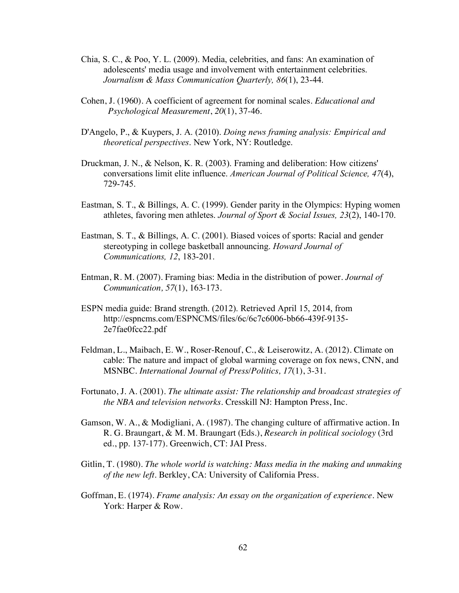- Chia, S. C., & Poo, Y. L. (2009). Media, celebrities, and fans: An examination of adolescents' media usage and involvement with entertainment celebrities. *Journalism & Mass Communication Quarterly, 86*(1), 23-44.
- Cohen, J. (1960). A coefficient of agreement for nominal scales. *Educational and Psychological Measurement*, *20*(1), 37-46.
- D'Angelo, P., & Kuypers, J. A. (2010). *Doing news framing analysis: Empirical and theoretical perspectives*. New York, NY: Routledge.
- Druckman, J. N., & Nelson, K. R. (2003). Framing and deliberation: How citizens' conversations limit elite influence. *American Journal of Political Science, 47*(4), 729-745.
- Eastman, S. T., & Billings, A. C. (1999). Gender parity in the Olympics: Hyping women athletes, favoring men athletes. *Journal of Sport & Social Issues, 23*(2), 140-170.
- Eastman, S. T., & Billings, A. C. (2001). Biased voices of sports: Racial and gender stereotyping in college basketball announcing. *Howard Journal of Communications, 12*, 183-201.
- Entman, R. M. (2007). Framing bias: Media in the distribution of power. *Journal of Communication, 57*(1), 163-173.
- ESPN media guide: Brand strength. (2012). Retrieved April 15, 2014, from http://espncms.com/ESPNCMS/files/6c/6c7c6006-bb66-439f-9135- 2e7fae0fcc22.pdf
- Feldman, L., Maibach, E. W., Roser-Renouf, C., & Leiserowitz, A. (2012). Climate on cable: The nature and impact of global warming coverage on fox news, CNN, and MSNBC. *International Journal of Press/Politics, 17*(1), 3-31.
- Fortunato, J. A. (2001). *The ultimate assist: The relationship and broadcast strategies of the NBA and television networks*. Cresskill NJ: Hampton Press, Inc.
- Gamson, W. A., & Modigliani, A. (1987). The changing culture of affirmative action. In R. G. Braungart, & M. M. Braungart (Eds.), *Research in political sociology* (3rd ed., pp. 137-177). Greenwich, CT: JAI Press.
- Gitlin, T. (1980). *The whole world is watching: Mass media in the making and unmaking of the new left*. Berkley, CA: University of California Press.
- Goffman, E. (1974). *Frame analysis: An essay on the organization of experience*. New York: Harper & Row.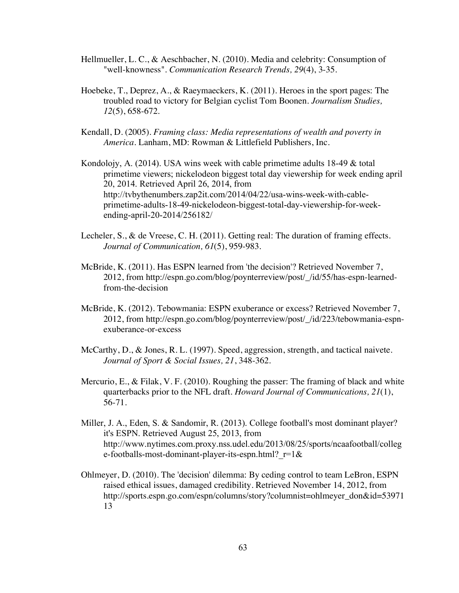- Hellmueller, L. C., & Aeschbacher, N. (2010). Media and celebrity: Consumption of "well-knowness". *Communication Research Trends, 29*(4), 3-35.
- Hoebeke, T., Deprez, A., & Raeymaeckers, K. (2011). Heroes in the sport pages: The troubled road to victory for Belgian cyclist Tom Boonen. *Journalism Studies, 12*(5), 658-672.
- Kendall, D. (2005). *Framing class: Media representations of wealth and poverty in America*. Lanham, MD: Rowman & Littlefield Publishers, Inc.
- Kondolojy, A. (2014). USA wins week with cable primetime adults 18-49 & total primetime viewers; nickelodeon biggest total day viewership for week ending april 20, 2014. Retrieved April 26, 2014, from http://tvbythenumbers.zap2it.com/2014/04/22/usa-wins-week-with-cableprimetime-adults-18-49-nickelodeon-biggest-total-day-viewership-for-weekending-april-20-2014/256182/
- Lecheler, S., & de Vreese, C. H. (2011). Getting real: The duration of framing effects. *Journal of Communication, 61*(5), 959-983.
- McBride, K. (2011). Has ESPN learned from 'the decision'? Retrieved November 7, 2012, from http://espn.go.com/blog/poynterreview/post/\_/id/55/has-espn-learnedfrom-the-decision
- McBride, K. (2012). Tebowmania: ESPN exuberance or excess? Retrieved November 7, 2012, from http://espn.go.com/blog/poynterreview/post/\_/id/223/tebowmania-espnexuberance-or-excess
- McCarthy, D., & Jones, R. L. (1997). Speed, aggression, strength, and tactical naivete. *Journal of Sport & Social Issues, 21*, 348-362.
- Mercurio, E., & Filak, V. F. (2010). Roughing the passer: The framing of black and white quarterbacks prior to the NFL draft. *Howard Journal of Communications, 21*(1), 56-71.
- Miller, J. A., Eden, S. & Sandomir, R. (2013). College football's most dominant player? it's ESPN. Retrieved August 25, 2013, from http://www.nytimes.com.proxy.nss.udel.edu/2013/08/25/sports/ncaafootball/colleg e-footballs-most-dominant-player-its-espn.html?\_r=1&
- Ohlmeyer, D. (2010). The 'decision' dilemma: By ceding control to team LeBron, ESPN raised ethical issues, damaged credibility. Retrieved November 14, 2012, from http://sports.espn.go.com/espn/columns/story?columnist=ohlmeyer\_don&id=53971 13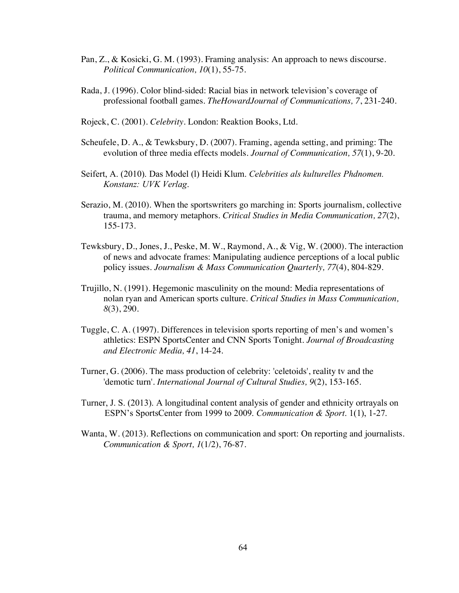- Pan, Z., & Kosicki, G. M. (1993). Framing analysis: An approach to news discourse. *Political Communication, 10*(1), 55-75.
- Rada, J. (1996). Color blind-sided: Racial bias in network television's coverage of professional football games. *TheHowardJournal of Communications, 7*, 231-240.
- Rojeck, C. (2001). *Celebrity*. London: Reaktion Books, Ltd.
- Scheufele, D. A., & Tewksbury, D. (2007). Framing, agenda setting, and priming: The evolution of three media effects models. *Journal of Communication, 57*(1), 9-20.
- Seifert, A. (2010). Das Model (l) Heidi Klum. *Celebrities als kulturelles Phdnomen. Konstanz: UVK Verlag*.
- Serazio, M. (2010). When the sportswriters go marching in: Sports journalism, collective trauma, and memory metaphors. *Critical Studies in Media Communication, 27*(2), 155-173.
- Tewksbury, D., Jones, J., Peske, M. W., Raymond, A., & Vig, W. (2000). The interaction of news and advocate frames: Manipulating audience perceptions of a local public policy issues. *Journalism & Mass Communication Quarterly, 77*(4), 804-829.
- Trujillo, N. (1991). Hegemonic masculinity on the mound: Media representations of nolan ryan and American sports culture. *Critical Studies in Mass Communication, 8*(3), 290.
- Tuggle, C. A. (1997). Differences in television sports reporting of men's and women's athletics: ESPN SportsCenter and CNN Sports Tonight. *Journal of Broadcasting and Electronic Media, 41*, 14-24.
- Turner, G. (2006). The mass production of celebrity: 'celetoids', reality tv and the 'demotic turn'. *International Journal of Cultural Studies, 9*(2), 153-165.
- Turner, J. S. (2013). A longitudinal content analysis of gender and ethnicity ortrayals on ESPN's SportsCenter from 1999 to 2009. *Communication & Sport*. 1(1), 1-27.
- Wanta, W. (2013). Reflections on communication and sport: On reporting and journalists. *Communication & Sport, 1*(1/2), 76-87.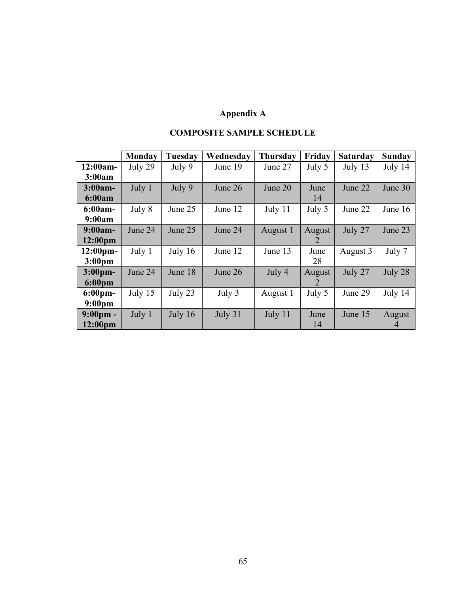# **Appendix A**

|                     | Monday  | <b>Tuesday</b> | Wednesday | <b>Thursday</b> | Friday         | <b>Saturday</b> | <b>Sunday</b>  |
|---------------------|---------|----------------|-----------|-----------------|----------------|-----------------|----------------|
| $12:00am -$         | July 29 | July 9         | June 19   | June 27         | July 5         | July 13         | July 14        |
| 3:00am              |         |                |           |                 |                |                 |                |
| $3:00am-$           | July 1  | July 9         | June 26   | June 20         | June           | June 22         | June 30        |
| 6:00am              |         |                |           |                 | 14             |                 |                |
| $6:00am-$           | July 8  | June 25        | June 12   | July 11         | July 5         | June 22         | June 16        |
| 9:00am              |         |                |           |                 |                |                 |                |
| $9:00am -$          | June 24 | June 25        | June 24   | August 1        | August         | July 27         | June 23        |
| 12:00 <sub>pm</sub> |         |                |           |                 |                |                 |                |
| $12:00$ pm-         | July 1  | July $16$      | June 12   | June 13         | June           | August 3        | July 7         |
| 3:00 <sub>pm</sub>  |         |                |           |                 | 28             |                 |                |
| 3:00 <sub>pm</sub>  | June 24 | June 18        | June 26   | July 4          | August         | July 27         | July 28        |
| $6:00 \text{pm}$    |         |                |           |                 | $\overline{2}$ |                 |                |
| $6:00 \text{pm}$    | July 15 | July 23        | July 3    | August 1        | July 5         | June 29         | July 14        |
| 9:00 <sub>pm</sub>  |         |                |           |                 |                |                 |                |
| $9:00 \text{pm} -$  | July 1  | July 16        | July 31   | July 11         | June           | June 15         | August         |
| 12:00 <sub>pm</sub> |         |                |           |                 | 14             |                 | $\overline{4}$ |

# **COMPOSITE SAMPLE SCHEDULE**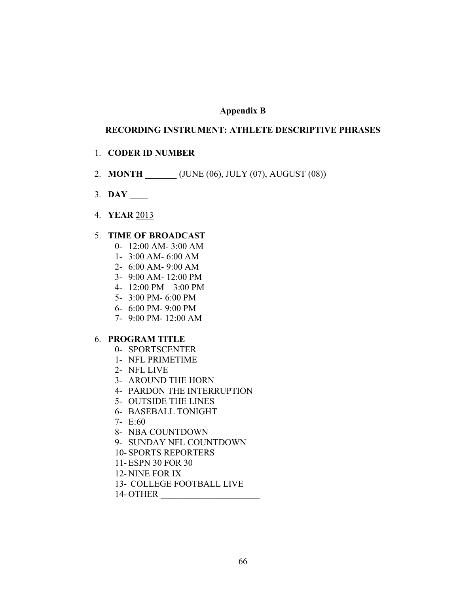# **Appendix B**

#### **RECORDING INSTRUMENT: ATHLETE DESCRIPTIVE PHRASES**

#### 1. **CODER ID NUMBER**

- 2. **MONTH** (JUNE (06), JULY (07), AUGUST (08))
- 3. **DAY \_\_\_\_**
- 4. **YEAR** 2013

# 5. **TIME OF BROADCAST**

- 0- 12:00 AM- 3:00 AM
- 1- 3:00 AM- 6:00 AM
- 2- 6:00 AM- 9:00 AM
- 3- 9:00 AM- 12:00 PM
- 4- 12:00 PM 3:00 PM
- 5- 3:00 PM- 6:00 PM
- 6- 6:00 PM- 9:00 PM
- 7- 9:00 PM- 12:00 AM

# 6. **PROGRAM TITLE**

- 0- SPORTSCENTER
- 1- NFL PRIMETIME
- 2- NFL LIVE
- 3- AROUND THE HORN
- 4- PARDON THE INTERRUPTION
- 5- OUTSIDE THE LINES
- 6- BASEBALL TONIGHT
- 7-  $E:60$
- 8- NBA COUNTDOWN
- 9- SUNDAY NFL COUNTDOWN
- 10- SPORTS REPORTERS
- 11- ESPN 30 FOR 30
- 12- NINE FOR IX
- 13- COLLEGE FOOTBALL LIVE

14- OTHER \_\_\_\_\_\_\_\_\_\_\_\_\_\_\_\_\_\_\_\_\_\_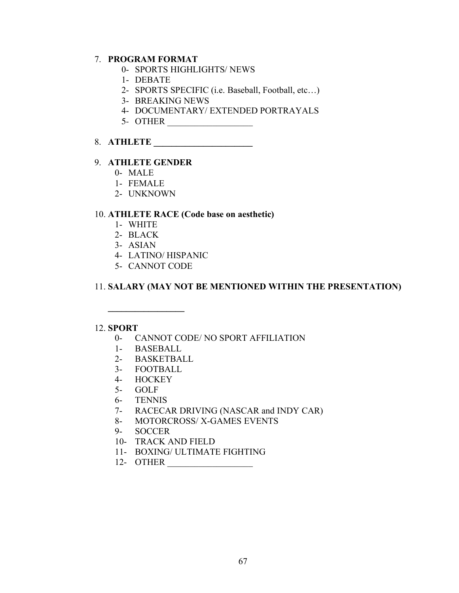# 7. **PROGRAM FORMAT**

- 0- SPORTS HIGHLIGHTS/ NEWS
- 1- DEBATE
- 2- SPORTS SPECIFIC (i.e. Baseball, Football, etc…)
- 3- BREAKING NEWS
- 4- DOCUMENTARY/ EXTENDED PORTRAYALS
- 5- OTHER \_\_\_\_\_\_\_\_\_\_\_\_\_\_\_\_\_\_\_

# 8. **ATHLETE \_\_\_\_\_\_\_\_\_\_\_\_\_\_\_\_\_\_\_\_\_\_**

## 9. **ATHLETE GENDER**

- 0- MALE
- 1- FEMALE
- 2- UNKNOWN

# 10. **ATHLETE RACE (Code base on aesthetic)**

- 1- WHITE
- 2- BLACK
- 3- ASIAN
- 4- LATINO/ HISPANIC
- 5- CANNOT CODE

# 11. **SALARY (MAY NOT BE MENTIONED WITHIN THE PRESENTATION)**

#### 12. **SPORT**

- 0- CANNOT CODE/ NO SPORT AFFILIATION
- 1- BASEBALL

**\_\_\_\_\_\_\_\_\_\_\_\_\_\_\_\_\_**

- 2- BASKETBALL
- 3- FOOTBALL
- 4- HOCKEY
- 5- GOLF
- 6- TENNIS
- 7- RACECAR DRIVING (NASCAR and INDY CAR)
- 8- MOTORCROSS/ X-GAMES EVENTS
- 9- SOCCER
- 10- TRACK AND FIELD
- 11- BOXING/ ULTIMATE FIGHTING
- 12- OTHER \_\_\_\_\_\_\_\_\_\_\_\_\_\_\_\_\_\_\_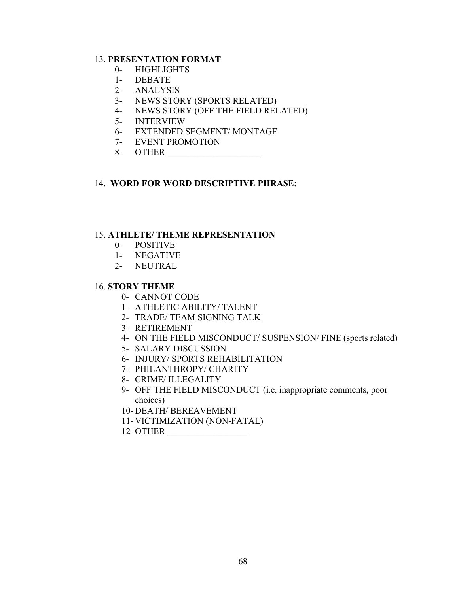# 13. **PRESENTATION FORMAT**

- 0- HIGHLIGHTS
- 1- DEBATE
- 2- ANALYSIS
- 3- NEWS STORY (SPORTS RELATED)
- 4- NEWS STORY (OFF THE FIELD RELATED)
- 5- INTERVIEW
- 6- EXTENDED SEGMENT/ MONTAGE
- 7- EVENT PROMOTION
- 8- OTHER \_\_\_\_\_\_\_\_\_\_\_\_\_\_\_\_\_\_\_\_\_

# 14. **WORD FOR WORD DESCRIPTIVE PHRASE:**

#### 15. **ATHLETE/ THEME REPRESENTATION**

- 0- POSITIVE
- 1- NEGATIVE
- 2- NEUTRAL

#### 16. **STORY THEME**

- 0- CANNOT CODE
- 1- ATHLETIC ABILITY/ TALENT
- 2- TRADE/ TEAM SIGNING TALK
- 3- RETIREMENT
- 4- ON THE FIELD MISCONDUCT/ SUSPENSION/ FINE (sports related)
- 5- SALARY DISCUSSION
- 6- INJURY/ SPORTS REHABILITATION
- 7- PHILANTHROPY/ CHARITY
- 8- CRIME/ ILLEGALITY
- 9- OFF THE FIELD MISCONDUCT (i.e. inappropriate comments, poor choices)
- 10- DEATH/ BEREAVEMENT
- 11- VICTIMIZATION (NON-FATAL)
- 12- OTHER \_\_\_\_\_\_\_\_\_\_\_\_\_\_\_\_\_\_